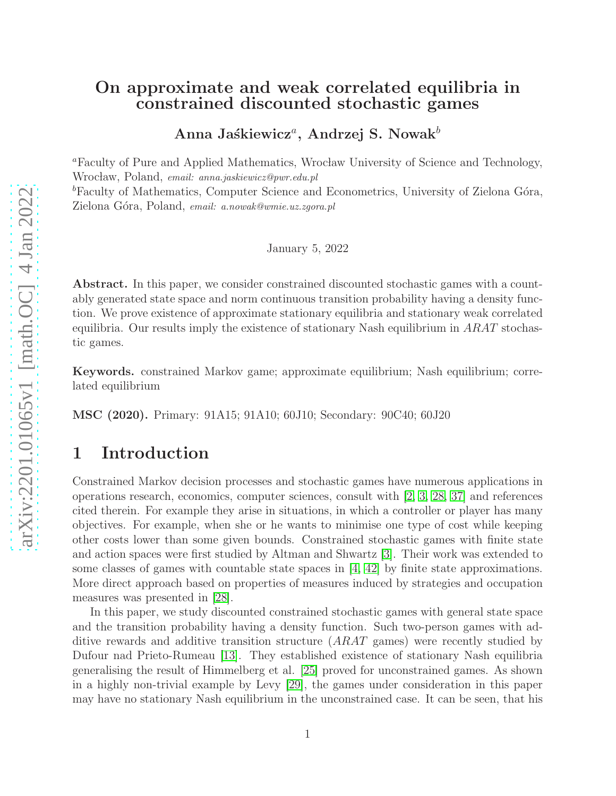# On approximate and weak correlated equilibria in constrained discounted stochastic games

Anna Jaśkiewicz<sup>a</sup>, Andrzej S. Nowak $^b$ 

<sup>a</sup>Faculty of Pure and Applied Mathematics, Wrocław University of Science and Technology, Wroc law, Poland, *email: anna.jaskiewicz@pwr.edu.pl*

 ${}^b$ Faculty of Mathematics, Computer Science and Econometrics, University of Zielona Góra, Zielona G´ora, Poland, *email: a.nowak@wmie.uz.zgora.pl*

January 5, 2022

Abstract. In this paper, we consider constrained discounted stochastic games with a countably generated state space and norm continuous transition probability having a density function. We prove existence of approximate stationary equilibria and stationary weak correlated equilibria. Our results imply the existence of stationary Nash equilibrium in  $ARAT$  stochastic games.

Keywords. constrained Markov game; approximate equilibrium; Nash equilibrium; correlated equilibrium

MSC (2020). Primary: 91A15; 91A10; 60J10; Secondary: 90C40; 60J20

# 1 Introduction

Constrained Markov decision processes and stochastic games have numerous applications in operations research, economics, computer sciences, consult with [\[2,](#page-18-0) [3,](#page-18-1) [28,](#page-20-0) [37\]](#page-21-0) and references cited therein. For example they arise in situations, in which a controller or player has many objectives. For example, when she or he wants to minimise one type of cost while keeping other costs lower than some given bounds. Constrained stochastic games with finite state and action spaces were first studied by Altman and Shwartz [\[3\]](#page-18-1). Their work was extended to some classes of games with countable state spaces in [\[4,](#page-18-2) [42\]](#page-21-1) by finite state approximations. More direct approach based on properties of measures induced by strategies and occupation measures was presented in [\[28\]](#page-20-0).

In this paper, we study discounted constrained stochastic games with general state space and the transition probability having a density function. Such two-person games with additive rewards and additive transition structure (ARAT games) were recently studied by Dufour nad Prieto-Rumeau [\[13\]](#page-19-0). They established existence of stationary Nash equilibria generalising the result of Himmelberg et al. [\[25\]](#page-20-1) proved for unconstrained games. As shown in a highly non-trivial example by Levy [\[29\]](#page-20-2), the games under consideration in this paper may have no stationary Nash equilibrium in the unconstrained case. It can be seen, that his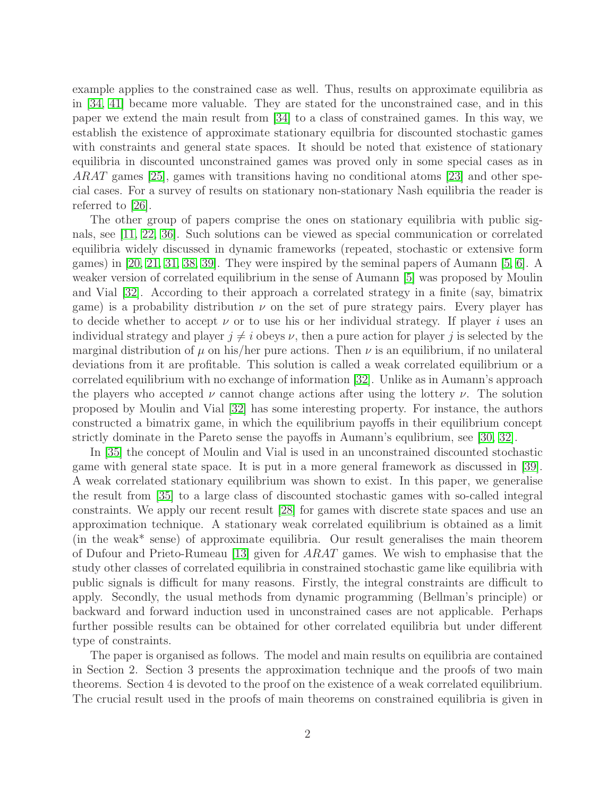example applies to the constrained case as well. Thus, results on approximate equilibria as in [\[34,](#page-20-3) [41\]](#page-21-2) became more valuable. They are stated for the unconstrained case, and in this paper we extend the main result from [\[34\]](#page-20-3) to a class of constrained games. In this way, we establish the existence of approximate stationary equilbria for discounted stochastic games with constraints and general state spaces. It should be noted that existence of stationary equilibria in discounted unconstrained games was proved only in some special cases as in ARAT games [\[25\]](#page-20-1), games with transitions having no conditional atoms [\[23\]](#page-20-4) and other special cases. For a survey of results on stationary non-stationary Nash equilibria the reader is referred to [\[26\]](#page-20-5).

The other group of papers comprise the ones on stationary equilibria with public signals, see [\[11,](#page-19-1) [22,](#page-19-2) [36\]](#page-20-6). Such solutions can be viewed as special communication or correlated equilibria widely discussed in dynamic frameworks (repeated, stochastic or extensive form games) in [\[20,](#page-19-3) [21,](#page-19-4) [31,](#page-20-7) [38,](#page-21-3) [39\]](#page-21-4). They were inspired by the seminal papers of Aumann [\[5,](#page-18-3) [6\]](#page-18-4). A weaker version of correlated equilibrium in the sense of Aumann [\[5\]](#page-18-3) was proposed by Moulin and Vial [\[32\]](#page-20-8). According to their approach a correlated strategy in a finite (say, bimatrix game) is a probability distribution  $\nu$  on the set of pure strategy pairs. Every player has to decide whether to accept  $\nu$  or to use his or her individual strategy. If player i uses an individual strategy and player  $j \neq i$  obeys  $\nu$ , then a pure action for player j is selected by the marginal distribution of  $\mu$  on his/her pure actions. Then  $\nu$  is an equilibrium, if no unilateral deviations from it are profitable. This solution is called a weak correlated equilibrium or a correlated equilibrium with no exchange of information [\[32\]](#page-20-8). Unlike as in Aumann's approach the players who accepted  $\nu$  cannot change actions after using the lottery  $\nu$ . The solution proposed by Moulin and Vial [\[32\]](#page-20-8) has some interesting property. For instance, the authors constructed a bimatrix game, in which the equilibrium payoffs in their equilibrium concept strictly dominate in the Pareto sense the payoffs in Aumann's equlibrium, see [\[30,](#page-20-9) [32\]](#page-20-8).

In [\[35\]](#page-20-10) the concept of Moulin and Vial is used in an unconstrained discounted stochastic game with general state space. It is put in a more general framework as discussed in [\[39\]](#page-21-4). A weak correlated stationary equilibrium was shown to exist. In this paper, we generalise the result from [\[35\]](#page-20-10) to a large class of discounted stochastic games with so-called integral constraints. We apply our recent result [\[28\]](#page-20-0) for games with discrete state spaces and use an approximation technique. A stationary weak correlated equilibrium is obtained as a limit (in the weak\* sense) of approximate equilibria. Our result generalises the main theorem of Dufour and Prieto-Rumeau [\[13\]](#page-19-0) given for ARAT games. We wish to emphasise that the study other classes of correlated equilibria in constrained stochastic game like equilibria with public signals is difficult for many reasons. Firstly, the integral constraints are difficult to apply. Secondly, the usual methods from dynamic programming (Bellman's principle) or backward and forward induction used in unconstrained cases are not applicable. Perhaps further possible results can be obtained for other correlated equilibria but under different type of constraints.

The paper is organised as follows. The model and main results on equilibria are contained in Section 2. Section 3 presents the approximation technique and the proofs of two main theorems. Section 4 is devoted to the proof on the existence of a weak correlated equilibrium. The crucial result used in the proofs of main theorems on constrained equilibria is given in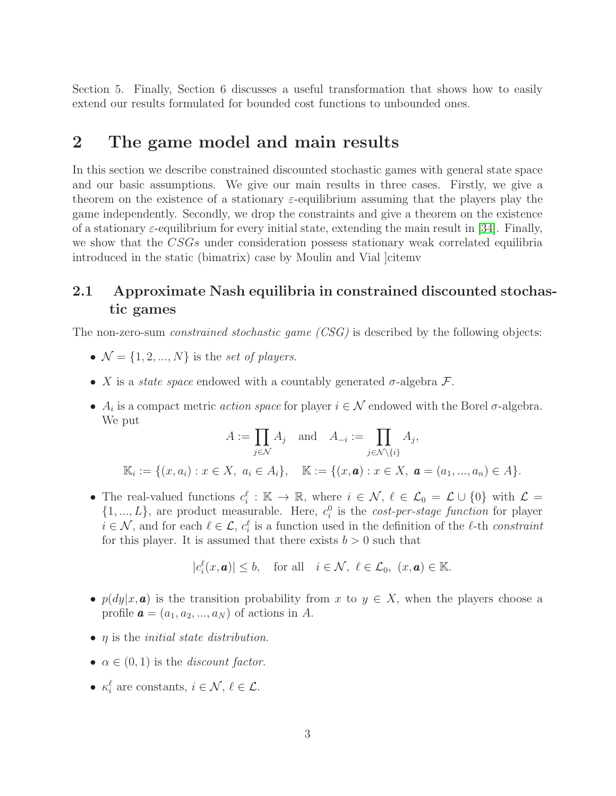Section 5. Finally, Section 6 discusses a useful transformation that shows how to easily extend our results formulated for bounded cost functions to unbounded ones.

# 2 The game model and main results

In this section we describe constrained discounted stochastic games with general state space and our basic assumptions. We give our main results in three cases. Firstly, we give a theorem on the existence of a stationary  $\varepsilon$ -equilibrium assuming that the players play the game independently. Secondly, we drop the constraints and give a theorem on the existence of a stationary  $\varepsilon$ -equilibrium for every initial state, extending the main result in [\[34\]](#page-20-3). Finally, we show that the CSGs under consideration possess stationary weak correlated equilibria introduced in the static (bimatrix) case by Moulin and Vial ]citemv

### 2.1 Approximate Nash equilibria in constrained discounted stochastic games

The non-zero-sum *constrained stochastic game (CSG)* is described by the following objects:

- $\mathcal{N} = \{1, 2, ..., N\}$  is the set of players.
- X is a *state space* endowed with a countably generated  $\sigma$ -algebra  $\mathcal{F}$ .
- $A_i$  is a compact metric *action space* for player  $i \in \mathcal{N}$  endowed with the Borel  $\sigma$ -algebra. We put

$$
A := \prod_{j \in \mathcal{N}} A_j \text{ and } A_{-i} := \prod_{j \in \mathcal{N} \setminus \{i\}} A_j,
$$
  

$$
\mathbb{K}_i := \{ (x, a_i) : x \in X, \ a_i \in A_i \}, \quad \mathbb{K} := \{ (x, \mathbf{a}) : x \in X, \ \mathbf{a} = (a_1, ..., a_n) \in A \}.
$$

• The real-valued functions  $c_i^{\ell}: \mathbb{K} \to \mathbb{R}$ , where  $i \in \mathcal{N}, \ell \in \mathcal{L}_0 = \mathcal{L} \cup \{0\}$  with  $\mathcal{L} =$  $\{1, ..., L\}$ , are product measurable. Here,  $c_i^0$  is the *cost-per-stage function* for player  $i \in \mathcal{N}$ , and for each  $\ell \in \mathcal{L}$ ,  $c_i^{\ell}$  is a function used in the definition of the  $\ell$ -th constraint for this player. It is assumed that there exists  $b > 0$  such that

$$
|c_i^{\ell}(x, \mathbf{a})| \leq b
$$
, for all  $i \in \mathcal{N}$ ,  $\ell \in \mathcal{L}_0$ ,  $(x, \mathbf{a}) \in \mathbb{K}$ .

- $p(dy|x, a)$  is the transition probability from x to  $y \in X$ , when the players choose a profile  $\mathbf{a} = (a_1, a_2, ..., a_N)$  of actions in A.
- $\eta$  is the *initial state distribution*.
- $\alpha \in (0,1)$  is the *discount factor*.
- $\kappa_i^{\ell}$  are constants,  $i \in \mathcal{N}, \, \ell \in \mathcal{L}$ .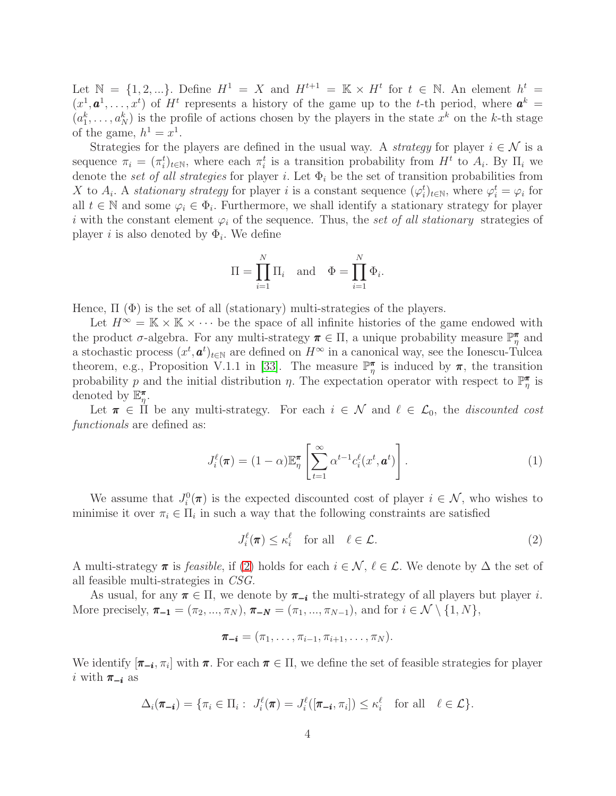Let  $\mathbb{N} = \{1, 2, ...\}$ . Define  $H^1 = X$  and  $H^{t+1} = \mathbb{K} \times H^t$  for  $t \in \mathbb{N}$ . An element  $h^t =$  $(x^1, a^1, \ldots, x^t)$  of H<sup>t</sup> represents a history of the game up to the t-th period, where  $a^k =$  $(a_1^k, \ldots, a_N^k)$  is the profile of actions chosen by the players in the state  $x^k$  on the k-th stage of the game,  $h^1 = x^1$ .

Strategies for the players are defined in the usual way. A *strategy* for player  $i \in \mathcal{N}$  is a sequence  $\pi_i = (\pi_i^t)_{t \in \mathbb{N}}$ , where each  $\pi_i^t$  is a transition probability from  $H^t$  to  $A_i$ . By  $\Pi_i$  we denote the set of all strategies for player i. Let  $\Phi_i$  be the set of transition probabilities from X to  $A_i$ . A stationary strategy for player i is a constant sequence  $(\varphi_i^t)_{t \in \mathbb{N}}$ , where  $\varphi_i^t = \varphi_i$  for all  $t \in \mathbb{N}$  and some  $\varphi_i \in \Phi_i$ . Furthermore, we shall identify a stationary strategy for player i with the constant element  $\varphi_i$  of the sequence. Thus, the set of all stationary strategies of player *i* is also denoted by  $\Phi_i$ . We define

$$
\Pi = \prod_{i=1}^{N} \Pi_i \text{ and } \Phi = \prod_{i=1}^{N} \Phi_i.
$$

Hence,  $\Pi$  ( $\Phi$ ) is the set of all (stationary) multi-strategies of the players.

Let  $H^{\infty} = \mathbb{K} \times \mathbb{K} \times \cdots$  be the space of all infinite histories of the game endowed with the product  $\sigma$ -algebra. For any multi-strategy  $\pi \in \Pi$ , a unique probability measure  $\mathbb{P}_{\eta}^{\pi}$  and a stochastic process  $(x^t, a^t)_{t \in \mathbb{N}}$  are defined on  $H^{\infty}$  in a canonical way, see the Ionescu-Tulcea theorem, e.g., Proposition V.1.1 in [\[33\]](#page-20-11). The measure  $\mathbb{P}^{\pi}_{\eta}$  is induced by  $\pi$ , the transition probability p and the initial distribution  $\eta$ . The expectation operator with respect to  $\mathbb{P}_\eta^{\pi}$  is denoted by  $\mathbb{E}_{\eta}^{\pi}$ .

Let  $\pi \in \Pi$  be any multi-strategy. For each  $i \in \mathcal{N}$  and  $\ell \in \mathcal{L}_0$ , the discounted cost functionals are defined as:

$$
J_i^{\ell}(\boldsymbol{\pi}) = (1 - \alpha) \mathbb{E}_{\eta}^{\boldsymbol{\pi}} \left[ \sum_{t=1}^{\infty} \alpha^{t-1} c_i^{\ell}(x^t, \boldsymbol{a}^t) \right]. \tag{1}
$$

We assume that  $J_i^0(\pi)$  is the expected discounted cost of player  $i \in \mathcal{N}$ , who wishes to minimise it over  $\pi_i \in \Pi_i$  in such a way that the following constraints are satisfied

<span id="page-3-0"></span>
$$
J_i^{\ell}(\pi) \le \kappa_i^{\ell} \quad \text{for all} \quad \ell \in \mathcal{L}.\tag{2}
$$

A multi-strategy  $\pi$  is *feasible*, if [\(2\)](#page-3-0) holds for each  $i \in \mathcal{N}$ ,  $\ell \in \mathcal{L}$ . We denote by  $\Delta$  the set of all feasible multi-strategies in CSG.

As usual, for any  $\pi \in \Pi$ , we denote by  $\pi_{-i}$  the multi-strategy of all players but player *i*. More precisely,  $\pi_{-1} = (\pi_2, ..., \pi_N)$ ,  $\pi_{-N} = (\pi_1, ..., \pi_{N-1})$ , and for  $i \in \mathcal{N} \setminus \{1, N\}$ ,

$$
\boldsymbol{\pi_{-i}}=(\pi_1,\ldots,\pi_{i-1},\pi_{i+1},\ldots,\pi_N).
$$

We identify  $[\pi_{-i}, \pi_i]$  with  $\pi$ . For each  $\pi \in \Pi$ , we define the set of feasible strategies for player i with  $\pi_{-i}$  as

$$
\Delta_i(\pi_{-i}) = \{ \pi_i \in \Pi_i : J_i^{\ell}(\pi) = J_i^{\ell}([\pi_{-i}, \pi_i]) \leq \kappa_i^{\ell} \text{ for all } \ell \in \mathcal{L} \}.
$$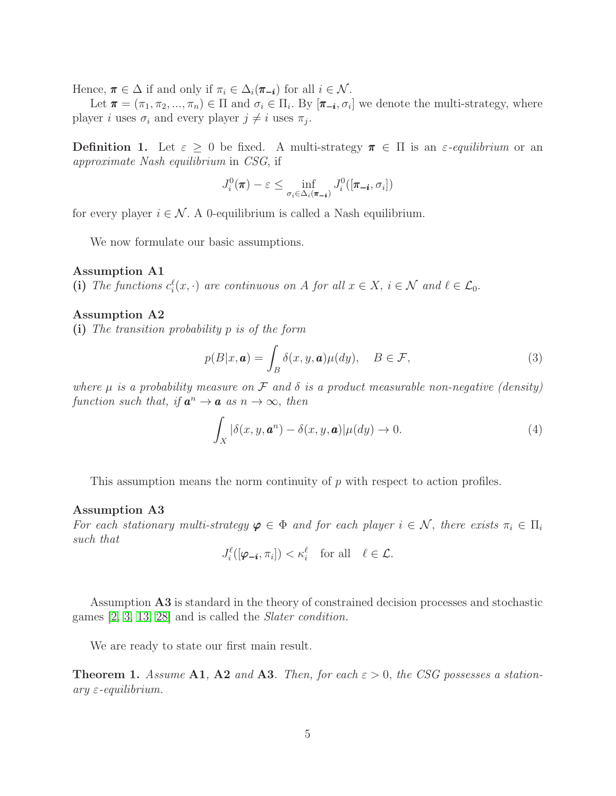Hence,  $\pi \in \Delta$  if and only if  $\pi_i \in \Delta_i(\pi_{-i})$  for all  $i \in \mathcal{N}$ .

Let  $\pi = (\pi_1, \pi_2, ..., \pi_n) \in \Pi$  and  $\sigma_i \in \Pi_i$ . By  $[\pi_{-i}, \sigma_i]$  we denote the multi-strategy, where player *i* uses  $\sigma_i$  and every player  $j \neq i$  uses  $\pi_j$ .

**Definition 1.** Let  $\varepsilon > 0$  be fixed. A multi-strategy  $\pi \in \Pi$  is an  $\varepsilon$ -equilibrium or an approximate Nash equilibrium in CSG, if

$$
J_i^0(\boldsymbol{\pi}) - \varepsilon \le \inf_{\sigma_i \in \Delta_i(\boldsymbol{\pi}_{-i})} J_i^0([\boldsymbol{\pi}_{-i}, \sigma_i])
$$

for every player  $i \in \mathcal{N}$ . A 0-equilibrium is called a Nash equilibrium.

We now formulate our basic assumptions.

#### Assumption A1

(i) The functions  $c_i^{\ell}(x, \cdot)$  are continuous on A for all  $x \in X$ ,  $i \in \mathcal{N}$  and  $\ell \in \mathcal{L}_0$ .

### Assumption A2

(i) The transition probability p is of the form

$$
p(B|x,\mathbf{a}) = \int_{B} \delta(x,y,\mathbf{a})\mu(dy), \quad B \in \mathcal{F},
$$
\n(3)

where  $\mu$  is a probability measure on  $\mathcal F$  and  $\delta$  is a product measurable non-negative (density) function such that, if  $a^n \to a$  as  $n \to \infty$ , then

$$
\int_X |\delta(x, y, \boldsymbol{a}^n) - \delta(x, y, \boldsymbol{a})| \mu(dy) \to 0.
$$
\n(4)

This assumption means the norm continuity of p with respect to action profiles.

### Assumption A3

For each stationary multi-strategy  $\varphi \in \Phi$  and for each player  $i \in \mathcal{N}$ , there exists  $\pi_i \in \Pi_i$ such that

$$
J_i^{\ell}([\boldsymbol{\varphi}_{-i}, \pi_i]) < \kappa_i^{\ell} \quad \text{for all} \quad \ell \in \mathcal{L}.
$$

Assumption A3 is standard in the theory of constrained decision processes and stochastic games [\[2,](#page-18-0) [3,](#page-18-1) [13,](#page-19-0) [28\]](#page-20-0) and is called the Slater condition.

We are ready to state our first main result.

**Theorem 1.** Assume A1, A2 and A3. Then, for each  $\varepsilon > 0$ , the CSG possesses a station $ary \varepsilon$ -equilibrium.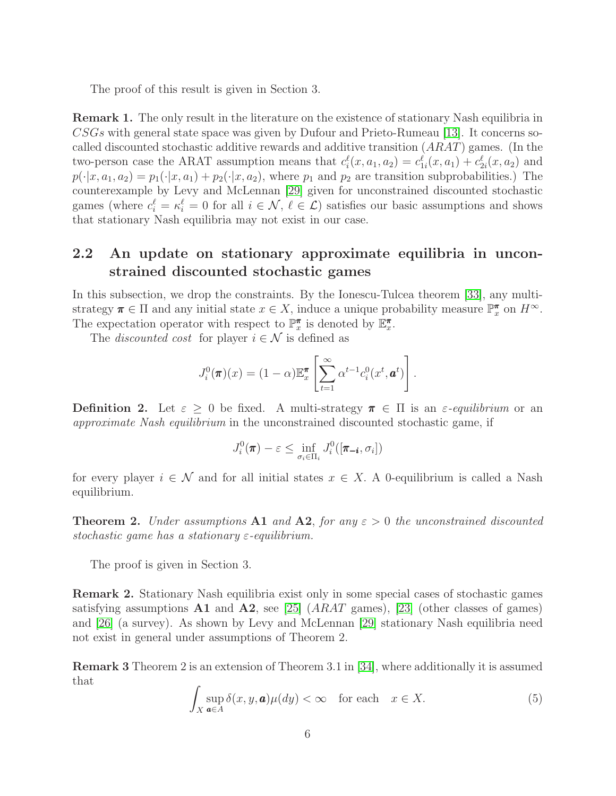The proof of this result is given in Section 3.

Remark 1. The only result in the literature on the existence of stationary Nash equilibria in CSGs with general state space was given by Dufour and Prieto-Rumeau [\[13\]](#page-19-0). It concerns socalled discounted stochastic additive rewards and additive transition (ARAT) games. (In the two-person case the ARAT assumption means that  $c_i^{\ell}(x, a_1, a_2) = c_{1i}^{\ell}(x, a_1) + c_{2i}^{\ell}(x, a_2)$  and  $p(\cdot|x, a_1, a_2) = p_1(\cdot|x, a_1) + p_2(\cdot|x, a_2)$ , where  $p_1$  and  $p_2$  are transition subprobabilities.) The counterexample by Levy and McLennan [\[29\]](#page-20-2) given for unconstrained discounted stochastic games (where  $c_i^{\ell} = \kappa_i^{\ell} = 0$  for all  $i \in \mathcal{N}, \ell \in \mathcal{L}$ ) satisfies our basic assumptions and shows that stationary Nash equilibria may not exist in our case.

### 2.2 An update on stationary approximate equilibria in unconstrained discounted stochastic games

In this subsection, we drop the constraints. By the Ionescu-Tulcea theorem [\[33\]](#page-20-11), any multistrategy  $\pi \in \Pi$  and any initial state  $x \in X$ , induce a unique probability measure  $\mathbb{P}_{x}^{\pi}$  on  $H^{\infty}$ . The expectation operator with respect to  $\mathbb{P}_{x}^{\pi}$  is denoted by  $\mathbb{E}_{x}^{\pi}$ .

The *discounted cost* for player  $i \in \mathcal{N}$  is defined as

$$
J_i^0(\boldsymbol{\pi})(x) = (1-\alpha)\mathbb{E}_x^{\boldsymbol{\pi}}\left[\sum_{t=1}^{\infty} \alpha^{t-1} c_i^0(x^t, \boldsymbol{a}^t)\right].
$$

**Definition 2.** Let  $\varepsilon \geq 0$  be fixed. A multi-strategy  $\pi \in \Pi$  is an  $\varepsilon$ -equilibrium or an approximate Nash equilibrium in the unconstrained discounted stochastic game, if

$$
J_i^0(\pmb{\pi}) - \varepsilon \le \inf_{\sigma_i \in \Pi_i} J_i^0([\pmb{\pi_{-i}}, \sigma_i])
$$

for every player  $i \in \mathcal{N}$  and for all initial states  $x \in X$ . A 0-equilibrium is called a Nash equilibrium.

**Theorem 2.** Under assumptions A1 and A2, for any  $\varepsilon > 0$  the unconstrained discounted stochastic game has a stationary  $\varepsilon$ -equilibrium.

The proof is given in Section 3.

Remark 2. Stationary Nash equilibria exist only in some special cases of stochastic games satisfying assumptions  $\mathbf{A1}$  and  $\mathbf{A2}$ , see [\[25\]](#page-20-1) ( $ARAT$  games), [\[23\]](#page-20-4) (other classes of games) and [\[26\]](#page-20-5) (a survey). As shown by Levy and McLennan [\[29\]](#page-20-2) stationary Nash equilibria need not exist in general under assumptions of Theorem 2.

Remark 3 Theorem 2 is an extension of Theorem 3.1 in [\[34\]](#page-20-3), where additionally it is assumed that

<span id="page-5-0"></span>
$$
\int_{X} \sup_{\mathbf{a}\in A} \delta(x, y, \mathbf{a}) \mu(dy) < \infty \quad \text{for each} \quad x \in X. \tag{5}
$$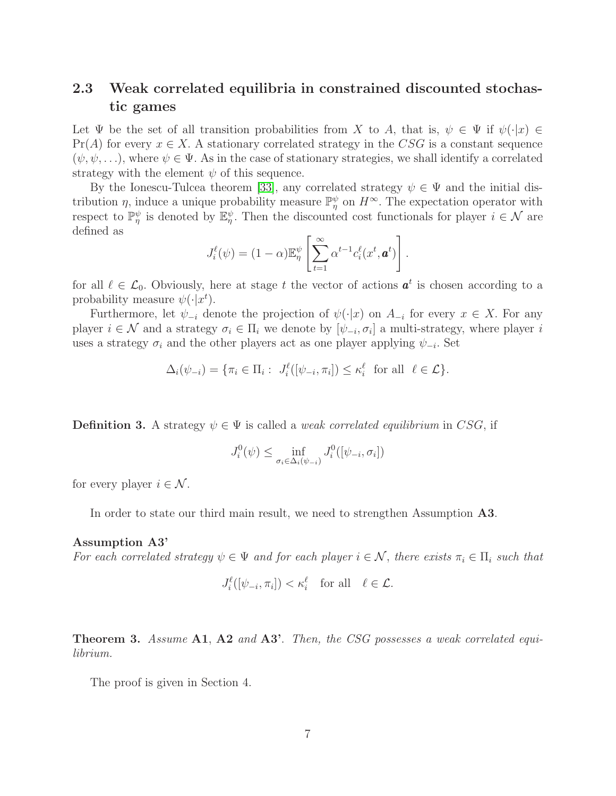### 2.3 Weak correlated equilibria in constrained discounted stochastic games

Let  $\Psi$  be the set of all transition probabilities from X to A, that is,  $\psi \in \Psi$  if  $\psi(\cdot|x) \in$  $Pr(A)$  for every  $x \in X$ . A stationary correlated strategy in the CSG is a constant sequence  $(\psi, \psi, \ldots)$ , where  $\psi \in \Psi$ . As in the case of stationary strategies, we shall identify a correlated strategy with the element  $\psi$  of this sequence.

By the Ionescu-Tulcea theorem [\[33\]](#page-20-11), any correlated strategy  $\psi \in \Psi$  and the initial distribution  $\eta$ , induce a unique probability measure  $\mathbb{P}_{\eta}^{\psi}$  on  $H^{\infty}$ . The expectation operator with respect to  $\mathbb{P}_{\eta}^{\psi}$  is denoted by  $\mathbb{E}_{\eta}^{\psi}$ . Then the discounted cost functionals for player  $i \in \mathcal{N}$  are defined as

$$
J_i^{\ell}(\psi) = (1 - \alpha) \mathbb{E}_{\eta}^{\psi} \left[ \sum_{t=1}^{\infty} \alpha^{t-1} c_i^{\ell}(x^t, \mathbf{a}^t) \right].
$$

for all  $\ell \in \mathcal{L}_0$ . Obviously, here at stage t the vector of actions  $a^t$  is chosen according to a probability measure  $\psi(\cdot|x^t)$ .

Furthermore, let  $\psi_{-i}$  denote the projection of  $\psi(\cdot|x)$  on  $A_{-i}$  for every  $x \in X$ . For any player  $i \in \mathcal{N}$  and a strategy  $\sigma_i \in \Pi_i$  we denote by  $[\psi_{-i}, \sigma_i]$  a multi-strategy, where player i uses a strategy  $\sigma_i$  and the other players act as one player applying  $\psi_{-i}$ . Set

$$
\Delta_i(\psi_{-i}) = \{ \pi_i \in \Pi_i : J_i^{\ell}([\psi_{-i}, \pi_i]) \le \kappa_i^{\ell} \text{ for all } \ell \in \mathcal{L} \}.
$$

**Definition 3.** A strategy  $\psi \in \Psi$  is called a *weak correlated equilibrium* in CSG, if

$$
J_i^0(\psi) \le \inf_{\sigma_i \in \Delta_i(\psi_{-i})} J_i^0([\psi_{-i}, \sigma_i])
$$

for every player  $i \in \mathcal{N}$ .

In order to state our third main result, we need to strengthen Assumption **A3**.

#### Assumption A3'

For each correlated strategy  $\psi \in \Psi$  and for each player  $i \in \mathcal{N}$ , there exists  $\pi_i \in \Pi_i$  such that

$$
J_i^{\ell}([\psi_{-i}, \pi_i]) < \kappa_i^{\ell} \quad \text{for all} \quad \ell \in \mathcal{L}.
$$

**Theorem 3.** Assume A1, A2 and A3'. Then, the CSG possesses a weak correlated equilibrium.

The proof is given in Section 4.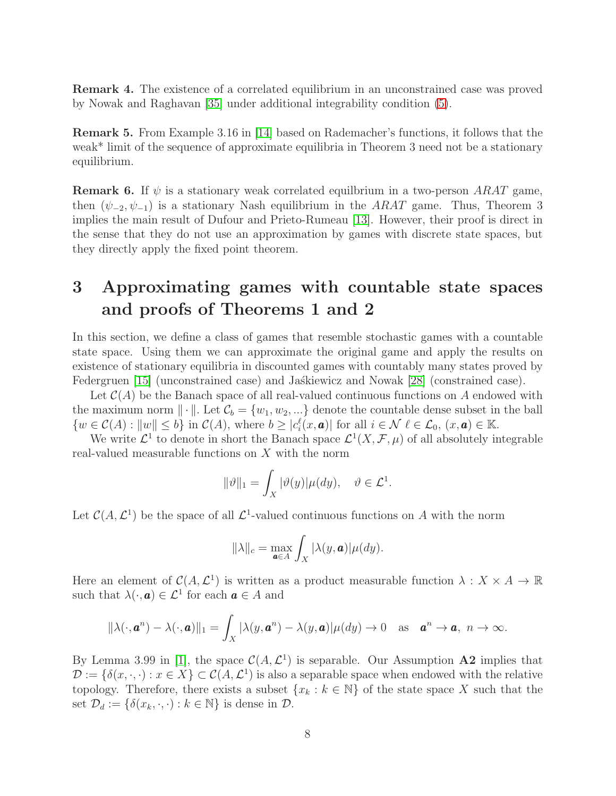Remark 4. The existence of a correlated equilibrium in an unconstrained case was proved by Nowak and Raghavan [\[35\]](#page-20-10) under additional integrability condition [\(5\)](#page-5-0).

Remark 5. From Example 3.16 in [\[14\]](#page-19-5) based on Rademacher's functions, it follows that the weak\* limit of the sequence of approximate equilibria in Theorem 3 need not be a stationary equilibrium.

**Remark 6.** If  $\psi$  is a stationary weak correlated equilitium in a two-person ARAT game, then  $(\psi_{-2}, \psi_{-1})$  is a stationary Nash equilibrium in the ARAT game. Thus, Theorem 3 implies the main result of Dufour and Prieto-Rumeau [\[13\]](#page-19-0). However, their proof is direct in the sense that they do not use an approximation by games with discrete state spaces, but they directly apply the fixed point theorem.

# 3 Approximating games with countable state spaces and proofs of Theorems 1 and 2

In this section, we define a class of games that resemble stochastic games with a countable state space. Using them we can approximate the original game and apply the results on existence of stationary equilibria in discounted games with countably many states proved by Federgruen [\[15\]](#page-19-6) (unconstrained case) and Jaskiewicz and Nowak [\[28\]](#page-20-0) (constrained case).

Let  $\mathcal{C}(A)$  be the Banach space of all real-valued continuous functions on A endowed with the maximum norm  $\|\cdot\|$ . Let  $\mathcal{C}_b = \{w_1, w_2, ...\}$  denote the countable dense subset in the ball  $\{w \in \mathcal{C}(A) : ||w|| \leq b\}$  in  $\mathcal{C}(A)$ , where  $b \geq |c_i^{\ell}(x, \boldsymbol{a})|$  for all  $i \in \mathcal{N}$   $\ell \in \mathcal{L}_0$ ,  $(x, \boldsymbol{a}) \in \mathbb{K}$ .

We write  $\mathcal{L}^1$  to denote in short the Banach space  $\mathcal{L}^1(X,\mathcal{F},\mu)$  of all absolutely integrable real-valued measurable functions on X with the norm

$$
\|\vartheta\|_1 = \int_X |\vartheta(y)| \mu(dy), \quad \vartheta \in \mathcal{L}^1.
$$

Let  $\mathcal{C}(A, \mathcal{L}^1)$  be the space of all  $\mathcal{L}^1$ -valued continuous functions on A with the norm

$$
\|\lambda\|_c = \max_{\mathbf{a}\in A} \int_X |\lambda(y, \mathbf{a})| \mu(dy).
$$

Here an element of  $\mathcal{C}(A, \mathcal{L}^1)$  is written as a product measurable function  $\lambda : X \times A \to \mathbb{R}$ such that  $\lambda(\cdot, \mathbf{a}) \in \mathcal{L}^1$  for each  $\mathbf{a} \in A$  and

$$
\|\lambda(\cdot,\boldsymbol{a}^n)-\lambda(\cdot,\boldsymbol{a})\|_1=\int_X|\lambda(y,\boldsymbol{a}^n)-\lambda(y,\boldsymbol{a})|\mu(dy)\to 0 \text{ as } \boldsymbol{a}^n\to \boldsymbol{a}, n\to \infty.
$$

By Lemma 3.99 in [\[1\]](#page-18-5), the space  $\mathcal{C}(A, \mathcal{L}^1)$  is separable. Our Assumption A2 implies that  $\mathcal{D} := \{\delta(x, \cdot, \cdot) : x \in X\} \subset \mathcal{C}(A, \mathcal{L}^1)$  is also a separable space when endowed with the relative topology. Therefore, there exists a subset  $\{x_k : k \in \mathbb{N}\}\$  of the state space X such that the set  $\mathcal{D}_d := \{ \delta(x_k, \cdot, \cdot) : k \in \mathbb{N} \}$  is dense in  $\mathcal{D}$ .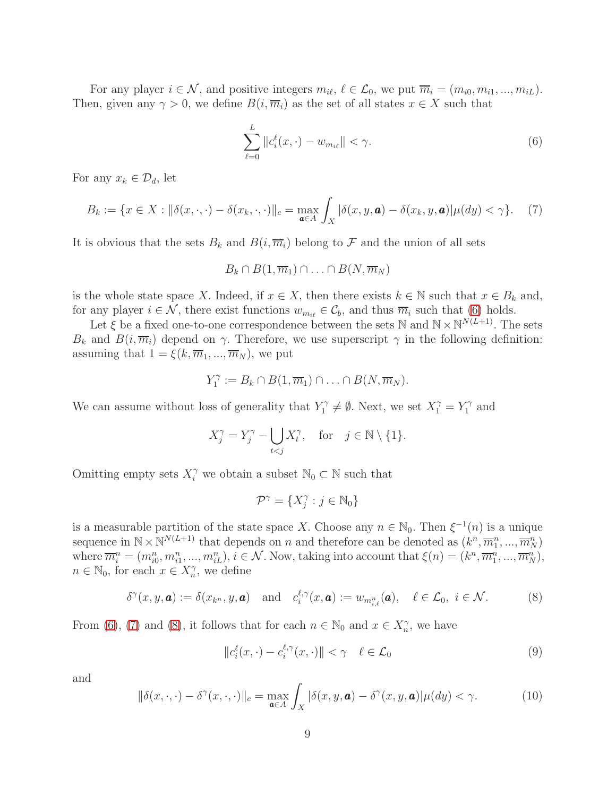For any player  $i \in \mathcal{N}$ , and positive integers  $m_{i\ell}, \ell \in \mathcal{L}_0$ , we put  $\overline{m}_i = (m_{i0}, m_{i1}, ..., m_{iL})$ . Then, given any  $\gamma > 0$ , we define  $B(i, \overline{m_i})$  as the set of all states  $x \in X$  such that

<span id="page-8-0"></span>
$$
\sum_{\ell=0}^{L} \|c_i^{\ell}(x,\cdot) - w_{m_{i\ell}}\| < \gamma. \tag{6}
$$

For any  $x_k \in \mathcal{D}_d$ , let

<span id="page-8-1"></span>
$$
B_k := \{ x \in X : \|\delta(x, \cdot, \cdot) - \delta(x_k, \cdot, \cdot)\|_c = \max_{\mathbf{a} \in A} \int_X |\delta(x, y, \mathbf{a}) - \delta(x_k, y, \mathbf{a})| \mu(dy) < \gamma \}. \tag{7}
$$

It is obvious that the sets  $B_k$  and  $B(i, \overline{m}_i)$  belong to  $\mathcal F$  and the union of all sets

$$
B_k \cap B(1, \overline{m}_1) \cap \ldots \cap B(N, \overline{m}_N)
$$

is the whole state space X. Indeed, if  $x \in X$ , then there exists  $k \in \mathbb{N}$  such that  $x \in B_k$  and, for any player  $i \in \mathcal{N}$ , there exist functions  $w_{m_{i\ell}} \in \mathcal{C}_b$ , and thus  $\overline{m}_i$  such that [\(6\)](#page-8-0) holds.

Let  $\xi$  be a fixed one-to-one correspondence between the sets N and  $N \times N^{N(L+1)}$ . The sets  $B_k$  and  $B(i, \overline{m}_i)$  depend on  $\gamma$ . Therefore, we use superscript  $\gamma$  in the following definition: assuming that  $1 = \xi(k, \overline{m}_1, ..., \overline{m}_N)$ , we put

$$
Y_1^{\gamma} := B_k \cap B(1, \overline{m}_1) \cap \ldots \cap B(N, \overline{m}_N).
$$

We can assume without loss of generality that  $Y_1^{\gamma}$  $Y_1^{\gamma} \neq \emptyset$ . Next, we set  $X_1^{\gamma} = Y_1^{\gamma}$  $i^{\gamma}$  and

$$
X_j^{\gamma} = Y_j^{\gamma} - \bigcup_{t < j} X_t^{\gamma}, \quad \text{for} \quad j \in \mathbb{N} \setminus \{1\}.
$$

Omitting empty sets  $X_i^{\gamma}$  we obtain a subset  $\mathbb{N}_0 \subset \mathbb{N}$  such that

 $\mathcal{P}^{\gamma} = \{X_i^{\gamma}\}$  $j^{\gamma} : j \in \mathbb{N}_0$ 

is a measurable partition of the state space X. Choose any  $n \in \mathbb{N}_0$ . Then  $\xi^{-1}(n)$  is a unique sequence in  $\mathbb{N} \times \mathbb{N}^{N(L+1)}$  that depends on n and therefore can be denoted as  $(k^n, \overline{m}_1^n, ..., \overline{m}_N^n)$ where  $\overline{m}_i^n = (m_{i0}^n, m_{i1}^n, ..., m_{iL}^n), i \in \mathcal{N}$ . Now, taking into account that  $\xi(n) = (k^n, \overline{m}_1^n, ..., \overline{m}_N^n)$ ,  $n \in \mathbb{N}_0$ , for each  $x \in X_n^{\gamma}$ , we define

<span id="page-8-2"></span>
$$
\delta^{\gamma}(x, y, \mathbf{a}) := \delta(x_{k^n}, y, \mathbf{a}) \quad \text{and} \quad c_i^{\ell, \gamma}(x, \mathbf{a}) := w_{m_{i,\ell}^n}(\mathbf{a}), \quad \ell \in \mathcal{L}_0, \ i \in \mathcal{N}.
$$
 (8)

From [\(6\)](#page-8-0), [\(7\)](#page-8-1) and [\(8\)](#page-8-2), it follows that for each  $n \in \mathbb{N}_0$  and  $x \in X_n^{\gamma}$ , we have

<span id="page-8-3"></span>
$$
||c_i^{\ell}(x,\cdot)-c_i^{\ell,\gamma}(x,\cdot)|| < \gamma \quad \ell \in \mathcal{L}_0
$$
\n(9)

and

<span id="page-8-4"></span>
$$
\|\delta(x,\cdot,\cdot)-\delta^{\gamma}(x,\cdot,\cdot)\|_{c}=\max_{\mathbf{a}\in A}\int_{X}|\delta(x,y,\mathbf{a})-\delta^{\gamma}(x,y,\mathbf{a})|\mu(dy)<\gamma.
$$
 (10)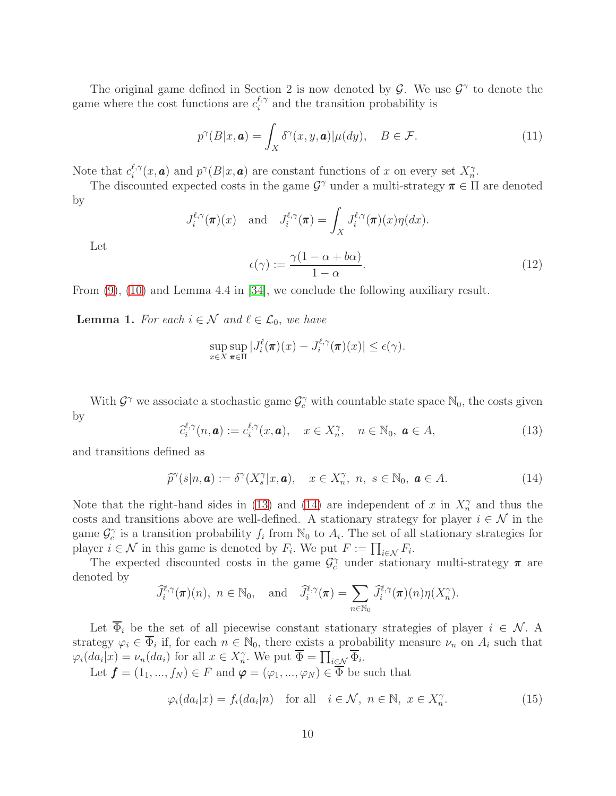The original game defined in Section 2 is now denoted by  $\mathcal{G}$ . We use  $\mathcal{G}^{\gamma}$  to denote the game where the cost functions are  $c_i^{\ell,\gamma}$  $i_i^{\ell,\gamma}$  and the transition probability is

$$
p^{\gamma}(B|x,\mathbf{a}) = \int_X \delta^{\gamma}(x,y,\mathbf{a})|\mu(dy), \quad B \in \mathcal{F}.
$$
 (11)

Note that  $c_i^{\ell,\gamma}$  $e^{i\gamma}(x, \mathbf{a})$  and  $p^{\gamma}(B|x, \mathbf{a})$  are constant functions of x on every set  $X_n^{\gamma}$ .

The discounted expected costs in the game  $\mathcal{G}^{\gamma}$  under a multi-strategy  $\pi \in \Pi$  are denoted by

$$
J_i^{\ell,\gamma}(\pi)(x)
$$
 and  $J_i^{\ell,\gamma}(\pi) = \int_X J_i^{\ell,\gamma}(\pi)(x)\eta(dx).$ 

Let

<span id="page-9-2"></span>
$$
\epsilon(\gamma) := \frac{\gamma(1 - \alpha + b\alpha)}{1 - \alpha}.
$$
\n(12)

From [\(9\)](#page-8-3), [\(10\)](#page-8-4) and Lemma 4.4 in [\[34\]](#page-20-3), we conclude the following auxiliary result.

**Lemma 1.** For each  $i \in \mathcal{N}$  and  $\ell \in \mathcal{L}_0$ , we have

$$
\sup_{x \in X} \sup_{\pi \in \Pi} |J_i^{\ell}(\pi)(x) - J_i^{\ell,\gamma}(\pi)(x)| \le \epsilon(\gamma).
$$

With  $\mathcal{G}^{\gamma}$  we associate a stochastic game  $\mathcal{G}^{\gamma}_c$  with countable state space  $\mathbb{N}_0$ , the costs given by

<span id="page-9-0"></span>
$$
\widehat{c}_i^{\ell,\gamma}(n,\mathbf{a}) := c_i^{\ell,\gamma}(x,\mathbf{a}), \quad x \in X_n^{\gamma}, \quad n \in \mathbb{N}_0, \ \mathbf{a} \in A,\tag{13}
$$

and transitions defined as

<span id="page-9-1"></span>
$$
\widehat{p}^{\gamma}(s|n, \mathbf{a}) := \delta^{\gamma}(X_s^{\gamma}|x, \mathbf{a}), \quad x \in X_n^{\gamma}, n, s \in \mathbb{N}_0, \mathbf{a} \in A.
$$
\n(14)

Note that the right-hand sides in [\(13\)](#page-9-0) and [\(14\)](#page-9-1) are independent of x in  $X_n^{\gamma}$  and thus the costs and transitions above are well-defined. A stationary strategy for player  $i \in \mathcal{N}$  in the game  $\mathcal{G}_c^{\gamma}$  is a transition probability  $f_i$  from  $\mathbb{N}_0$  to  $A_i$ . The set of all stationary strategies for player  $i \in \mathcal{N}$  in this game is denoted by  $F_i$ . We put  $F := \prod_{i \in \mathcal{N}} F_i$ .

The expected discounted costs in the game  $\mathcal{G}_c^{\gamma}$  under stationary multi-strategy  $\pi$  are denoted by

$$
\widehat{J}_i^{\ell,\gamma}(\boldsymbol{\pi})(n),\ n \in \mathbb{N}_0,\ \text{and}\ \widehat{J}_i^{\ell,\gamma}(\boldsymbol{\pi}) = \sum_{n \in \mathbb{N}_0} \widehat{J}_i^{\ell,\gamma}(\boldsymbol{\pi})(n)\eta(X_n^{\gamma}).
$$

Let  $\overline{\Phi}_i$  be the set of all piecewise constant stationary strategies of player  $i \in \mathcal{N}$ . A strategy  $\varphi_i \in \overline{\Phi}_i$  if, for each  $n \in \mathbb{N}_0$ , there exists a probability measure  $\nu_n$  on  $A_i$  such that  $\varphi_i(da_i|x) = \nu_n(da_i)$  for all  $x \in X_n^{\gamma}$ . We put  $\overline{\Phi} = \prod_{i \in \mathcal{N}} \overline{\Phi}_i$ .

Let  $\mathbf{f} = (1_1, ..., f_N) \in F$  and  $\boldsymbol{\varphi} = (\varphi_1, ..., \varphi_N) \in \overline{\Phi}$  be such that

<span id="page-9-3"></span>
$$
\varphi_i(da_i|x) = f_i(da_i|n) \text{ for all } i \in \mathcal{N}, n \in \mathbb{N}, x \in X_n^{\gamma}.
$$
 (15)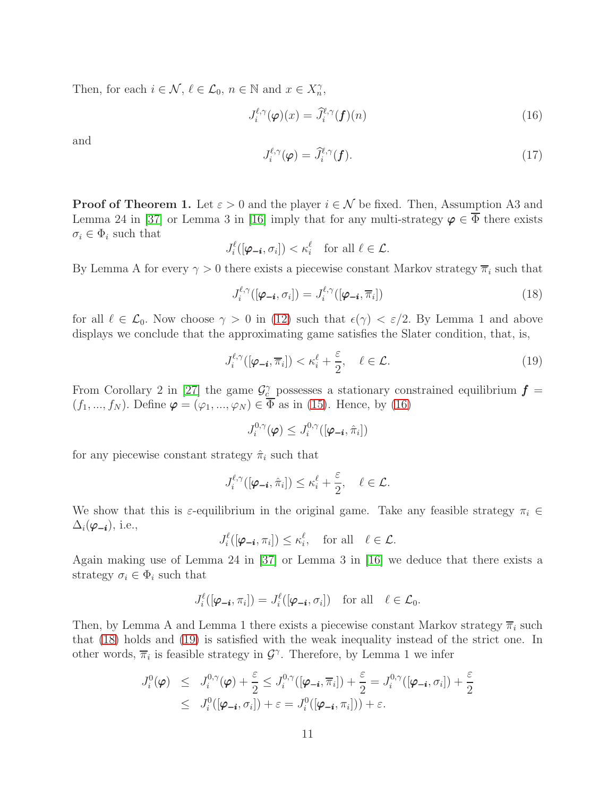Then, for each  $i \in \mathcal{N}, \ell \in \mathcal{L}_0, n \in \mathbb{N}$  and  $x \in X_n^{\gamma}$ ,

<span id="page-10-0"></span>
$$
J_i^{\ell,\gamma}(\varphi)(x) = \hat{J}_i^{\ell,\gamma}(f)(n)
$$
\n(16)

and

$$
J_i^{\ell,\gamma}(\boldsymbol{\varphi}) = \widehat{J}_i^{\ell,\gamma}(\boldsymbol{f}).\tag{17}
$$

**Proof of Theorem 1.** Let  $\varepsilon > 0$  and the player  $i \in \mathcal{N}$  be fixed. Then, Assumption A3 and Lemma 24 in [\[37\]](#page-21-0) or Lemma 3 in [\[16\]](#page-19-7) imply that for any multi-strategy  $\varphi \in \dot{\overline{\Phi}}$  there exists  $\sigma_i \in \Phi_i$  such that

$$
J_i^{\ell}([\boldsymbol{\varphi_{-i}}, \sigma_i]) < \kappa_i^{\ell} \quad \text{for all } \ell \in \mathcal{L}.
$$

By Lemma A for every  $\gamma > 0$  there exists a piecewise constant Markov strategy  $\overline{\pi}_i$  such that

<span id="page-10-1"></span>
$$
J_i^{\ell,\gamma}([\boldsymbol{\varphi}_{-\boldsymbol{i}},\sigma_i]) = J_i^{\ell,\gamma}([\boldsymbol{\varphi}_{-\boldsymbol{i}},\overline{\pi}_i])
$$
\n(18)

for all  $\ell \in \mathcal{L}_0$ . Now choose  $\gamma > 0$  in [\(12\)](#page-9-2) such that  $\epsilon(\gamma) < \epsilon/2$ . By Lemma 1 and above displays we conclude that the approximating game satisfies the Slater condition, that, is,

<span id="page-10-2"></span>
$$
J_i^{\ell,\gamma}([\boldsymbol{\varphi_{-i}},\overline{\pi}_i]) < \kappa_i^{\ell} + \frac{\varepsilon}{2}, \quad \ell \in \mathcal{L}.\tag{19}
$$

From Corollary 2 in [\[27\]](#page-20-12) the game  $\mathcal{G}_c^{\gamma}$  possesses a stationary constrained equilibrium  $\boldsymbol{f}$  =  $(f_1, ..., f_N)$ . Define  $\varphi = (\varphi_1, ..., \varphi_N) \in \Phi$  as in [\(15\)](#page-9-3). Hence, by [\(16\)](#page-10-0)

$$
J_i^{0,\gamma}(\bm{\varphi}) \leq J_i^{0,\gamma}([\bm{\varphi_{-i}},\hat{\pi}_i])
$$

for any piecewise constant strategy  $\hat{\pi}_i$  such that

$$
J_i^{\ell,\gamma}([\boldsymbol{\varphi}_{-i},\hat{\pi}_i]) \leq \kappa_i^{\ell} + \frac{\varepsilon}{2}, \quad \ell \in \mathcal{L}.
$$

We show that this is  $\varepsilon$ -equilibrium in the original game. Take any feasible strategy  $\pi_i \in$  $\Delta_i(\boldsymbol{\varphi_{-i}}),$  i.e.,

$$
J_i^{\ell}([\varphi_{-i}, \pi_i]) \leq \kappa_i^{\ell}, \quad \text{for all} \quad \ell \in \mathcal{L}.
$$

Again making use of Lemma 24 in [\[37\]](#page-21-0) or Lemma 3 in [\[16\]](#page-19-7) we deduce that there exists a strategy  $\sigma_i \in \Phi_i$  such that

$$
J_i^{\ell}([\boldsymbol{\varphi}_{-\boldsymbol{i}}, \pi_i]) = J_i^{\ell}([\boldsymbol{\varphi}_{-\boldsymbol{i}}, \sigma_i]) \quad \text{for all} \quad \ell \in \mathcal{L}_0.
$$

Then, by Lemma A and Lemma 1 there exists a piecewise constant Markov strategy  $\overline{\pi}_i$  such that [\(18\)](#page-10-1) holds and [\(19\)](#page-10-2) is satisfied with the weak inequality instead of the strict one. In other words,  $\overline{\pi}_i$  is feasible strategy in  $\mathcal{G}^{\gamma}$ . Therefore, by Lemma 1 we infer

$$
J_i^0(\boldsymbol{\varphi}) \leq J_i^{0,\gamma}(\boldsymbol{\varphi}) + \frac{\varepsilon}{2} \leq J_i^{0,\gamma}([\boldsymbol{\varphi}_{-\boldsymbol{i}}, \overline{\pi}_i]) + \frac{\varepsilon}{2} = J_i^{0,\gamma}([\boldsymbol{\varphi}_{-\boldsymbol{i}}, \sigma_i]) + \frac{\varepsilon}{2}
$$
  

$$
\leq J_i^0([\boldsymbol{\varphi}_{-\boldsymbol{i}}, \sigma_i]) + \varepsilon = J_i^0([\boldsymbol{\varphi}_{-\boldsymbol{i}}, \pi_i])) + \varepsilon.
$$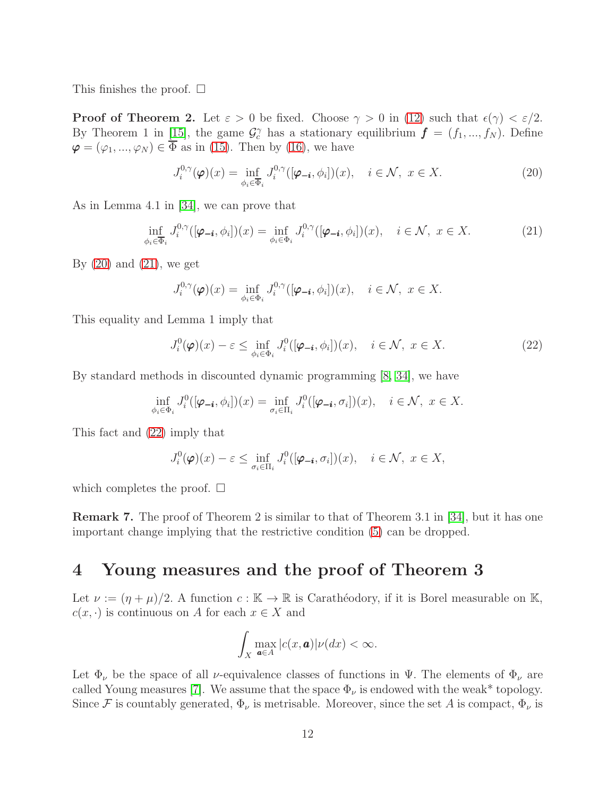This finishes the proof.  $\square$ 

**Proof of Theorem 2.** Let  $\varepsilon > 0$  be fixed. Choose  $\gamma > 0$  in [\(12\)](#page-9-2) such that  $\epsilon(\gamma) < \varepsilon/2$ . By Theorem 1 in [\[15\]](#page-19-6), the game  $\mathcal{G}_c^{\gamma}$  has a stationary equilibrium  $\boldsymbol{f} = (f_1, ..., f_N)$ . Define  $\varphi = (\varphi_1, ..., \varphi_N) \in \overline{\Phi}$  as in [\(15\)](#page-9-3). Then by [\(16\)](#page-10-0), we have

<span id="page-11-0"></span>
$$
J_i^{0,\gamma}(\boldsymbol{\varphi})(x) = \inf_{\phi_i \in \overline{\Phi}_i} J_i^{0,\gamma}([\boldsymbol{\varphi}_{-i}, \phi_i])(x), \quad i \in \mathcal{N}, \ x \in X. \tag{20}
$$

As in Lemma 4.1 in [\[34\]](#page-20-3), we can prove that

<span id="page-11-1"></span>
$$
\inf_{\phi_i \in \overline{\Phi}_i} J_i^{0,\gamma}([\boldsymbol{\varphi}_{-i}, \phi_i])(x) = \inf_{\phi_i \in \Phi_i} J_i^{0,\gamma}([\boldsymbol{\varphi}_{-i}, \phi_i])(x), \quad i \in \mathcal{N}, \ x \in X. \tag{21}
$$

By  $(20)$  and  $(21)$ , we get

$$
J_i^{0,\gamma}(\boldsymbol{\varphi})(x) = \inf_{\phi_i \in \Phi_i} J_i^{0,\gamma}([\boldsymbol{\varphi_{-i}}, \phi_i])(x), \quad i \in \mathcal{N}, \ x \in X.
$$

This equality and Lemma 1 imply that

<span id="page-11-2"></span>
$$
J_i^0(\boldsymbol{\varphi})(x) - \varepsilon \le \inf_{\phi_i \in \Phi_i} J_i^0([\boldsymbol{\varphi}_{-i}, \phi_i])(x), \quad i \in \mathcal{N}, \ x \in X. \tag{22}
$$

By standard methods in discounted dynamic programming [\[8,](#page-19-8) [34\]](#page-20-3), we have

$$
\inf_{\phi_i \in \Phi_i} J_i^0([\boldsymbol{\varphi_{-i}}, \phi_i])(x) = \inf_{\sigma_i \in \Pi_i} J_i^0([\boldsymbol{\varphi_{-i}}, \sigma_i])(x), \quad i \in \mathcal{N}, \ x \in X.
$$

This fact and [\(22\)](#page-11-2) imply that

$$
J_i^0(\boldsymbol{\varphi})(x) - \varepsilon \le \inf_{\sigma_i \in \Pi_i} J_i^0([\boldsymbol{\varphi_{-i}}, \sigma_i])(x), \quad i \in \mathcal{N}, \ x \in X,
$$

which completes the proof.  $\square$ 

Remark 7. The proof of Theorem 2 is similar to that of Theorem 3.1 in [\[34\]](#page-20-3), but it has one important change implying that the restrictive condition [\(5\)](#page-5-0) can be dropped.

# 4 Young measures and the proof of Theorem 3

Let  $\nu := (\eta + \mu)/2$ . A function  $c : \mathbb{K} \to \mathbb{R}$  is Carathéodory, if it is Borel measurable on K,  $c(x, \cdot)$  is continuous on A for each  $x \in X$  and

$$
\int_X \max_{\mathbf{a}\in A} |c(x,\mathbf{a})| \nu(dx) < \infty.
$$

Let  $\Phi_{\nu}$  be the space of all *ν*-equivalence classes of functions in  $\Psi$ . The elements of  $\Phi_{\nu}$  are called Young measures [\[7\]](#page-18-6). We assume that the space  $\Phi_{\nu}$  is endowed with the weak\* topology. Since F is countably generated,  $\Phi_{\nu}$  is metrisable. Moreover, since the set A is compact,  $\Phi_{\nu}$  is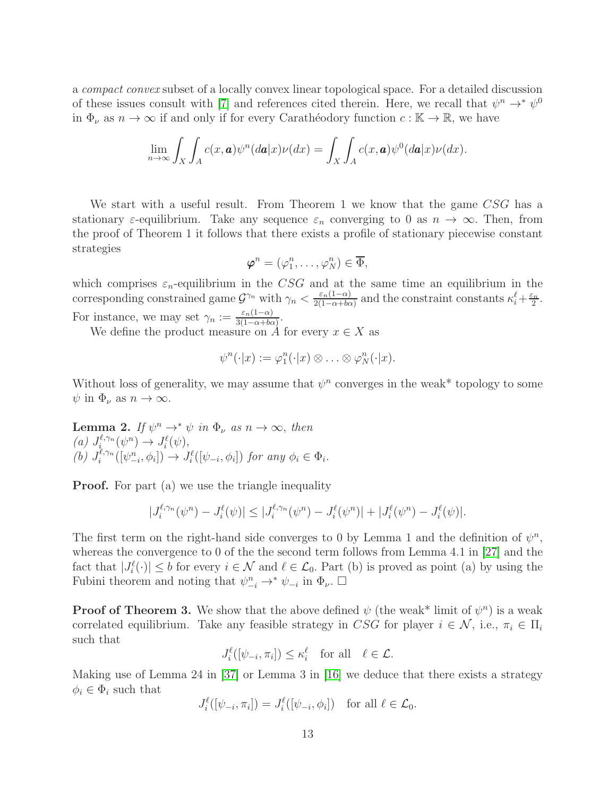a compact convex subset of a locally convex linear topological space. For a detailed discussion of these issues consult with [\[7\]](#page-18-6) and references cited therein. Here, we recall that  $\psi^n \to^* \psi^0$ in  $\Phi_{\nu}$  as  $n \to \infty$  if and only if for every Carathéodory function  $c : \mathbb{K} \to \mathbb{R}$ , we have

$$
\lim_{n\to\infty}\int_X\int_A c(x,\boldsymbol{a})\psi^n(d\boldsymbol{a}|x)\nu(dx)=\int_X\int_A c(x,\boldsymbol{a})\psi^0(d\boldsymbol{a}|x)\nu(dx).
$$

We start with a useful result. From Theorem 1 we know that the game CSG has a stationary  $\varepsilon$ -equilibrium. Take any sequence  $\varepsilon_n$  converging to 0 as  $n \to \infty$ . Then, from the proof of Theorem 1 it follows that there exists a profile of stationary piecewise constant strategies

$$
\boldsymbol{\varphi}^n = (\varphi_1^n, \dots, \varphi_N^n) \in \overline{\Phi},
$$

which comprises  $\varepsilon_n$ -equilibrium in the CSG and at the same time an equilibrium in the corresponding constrained game  $\mathcal{G}^{\gamma_n}$  with  $\gamma_n < \frac{\varepsilon_n(1-\alpha)}{2(1-\alpha)+bc}$  $\frac{\varepsilon_n(1-\alpha)}{2(1-\alpha+b\alpha)}$  and the constraint constants  $\kappa_i^{\ell} + \frac{\varepsilon_n}{2}$  $\frac{\varepsilon_n}{2}$ . For instance, we may set  $\gamma_n := \frac{\varepsilon_n(1-\alpha)}{3(1-\alpha)+bc}$  $rac{\varepsilon_n(1-\alpha)}{3(1-\alpha+b\alpha)}$ .

We define the product measure on  $\hat{A}$  for every  $x \in X$  as

$$
\psi^{n}(\cdot|x):=\varphi_{1}^{n}(\cdot|x)\otimes\ldots\otimes\varphi_{N}^{n}(\cdot|x).
$$

Without loss of generality, we may assume that  $\psi^n$  converges in the weak\* topology to some  $\psi$  in  $\Phi_{\nu}$  as  $n \to \infty$ .

**Lemma 2.** If  $\psi^n \to^* \psi$  in  $\Phi_{\nu}$  as  $n \to \infty$ , then (a)  $J_i^{\ell,\gamma_n}$  $J_i^{\ell,\gamma_n}(\psi^n) \to J_i^{\ell}(\psi),$ (b)  $J_i^{\ell,\gamma_n}$  $\mathcal{L}^{\ell,\gamma_n}([\psi_{-i}^n,\phi_i]) \to J_i^{\ell}([\psi_{-i},\phi_i])$  for any  $\phi_i \in \Phi_i$ .

**Proof.** For part (a) we use the triangle inequality

$$
|J_i^{\ell,\gamma_n}(\psi^n) - J_i^{\ell}(\psi)| \leq |J_i^{\ell,\gamma_n}(\psi^n) - J_i^{\ell}(\psi^n)| + |J_i^{\ell}(\psi^n) - J_i^{\ell}(\psi)|.
$$

The first term on the right-hand side converges to 0 by Lemma 1 and the definition of  $\psi^n$ , whereas the convergence to 0 of the the second term follows from Lemma 4.1 in [\[27\]](#page-20-12) and the fact that  $|J_i^{\ell}(\cdot)| \leq b$  for every  $i \in \mathcal{N}$  and  $\ell \in \mathcal{L}_0$ . Part (b) is proved as point (a) by using the Fubini theorem and noting that  $\psi_{-i}^n \to^* \psi_{-i}$  in  $\Phi_{\nu}$ .  $\Box$ 

**Proof of Theorem 3.** We show that the above defined  $\psi$  (the weak<sup>\*</sup> limit of  $\psi^n$ ) is a weak correlated equilibrium. Take any feasible strategy in CSG for player  $i \in \mathcal{N}$ , i.e.,  $\pi_i \in \Pi_i$ such that

$$
J_i^{\ell}([\psi_{-i}, \pi_i]) \leq \kappa_i^{\ell} \quad \text{for all} \quad \ell \in \mathcal{L}.
$$

Making use of Lemma 24 in [\[37\]](#page-21-0) or Lemma 3 in [\[16\]](#page-19-7) we deduce that there exists a strategy  $\phi_i \in \Phi_i$  such that

$$
J_i^{\ell}([\psi_{-i}, \pi_i]) = J_i^{\ell}([\psi_{-i}, \phi_i]) \text{ for all } \ell \in \mathcal{L}_0.
$$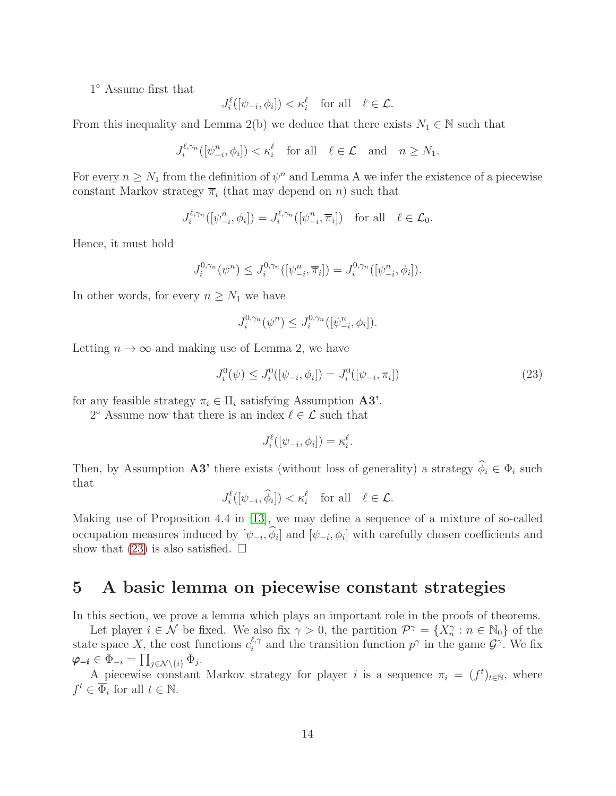1 ◦ Assume first that

$$
J_i^{\ell}([\psi_{-i}, \phi_i]) < \kappa_i^{\ell} \quad \text{for all} \quad \ell \in \mathcal{L}.
$$

From this inequality and Lemma 2(b) we deduce that there exists  $N_1 \in \mathbb{N}$  such that

$$
J_i^{\ell,\gamma_n}([\psi_{-i}^n,\phi_i]) < \kappa_i^{\ell} \quad \text{for all} \quad \ell \in \mathcal{L} \quad \text{and} \quad n \ge N_1.
$$

For every  $n \geq N_1$  from the definition of  $\psi^n$  and Lemma A we infer the existence of a piecewise constant Markov strategy  $\overline{\pi}_i$  (that may depend on n) such that

$$
J_i^{\ell,\gamma_n}([\psi_{-i}^n,\phi_i]) = J_i^{\ell,\gamma_n}([\psi_{-i}^n,\overline{\pi}_i]) \text{ for all } \ell \in \mathcal{L}_0.
$$

Hence, it must hold

$$
J_i^{0,\gamma_n}(\psi^n) \le J_i^{0,\gamma_n}([\psi^n_{-i}, \overline{\pi}_i]) = J_i^{0,\gamma_n}([\psi^n_{-i}, \phi_i]).
$$

In other words, for every  $n \geq N_1$  we have

$$
J_i^{0,\gamma_n}(\psi^n) \le J_i^{0,\gamma_n}([\psi^n_{-i}, \phi_i]).
$$

Letting  $n \to \infty$  and making use of Lemma 2, we have

<span id="page-13-0"></span>
$$
J_i^0(\psi) \le J_i^0([\psi_{-i}, \phi_i]) = J_i^0([\psi_{-i}, \pi_i])
$$
\n(23)

for any feasible strategy  $\pi_i \in \Pi_i$  satisfying Assumption **A3'**.

2° Assume now that there is an index  $\ell \in \mathcal{L}$  such that

$$
J_i^{\ell}([\psi_{-i}, \phi_i]) = \kappa_i^{\ell}.
$$

Then, by Assumption A3' there exists (without loss of generality) a strategy  $\hat{\phi}_i \in \Phi_i$  such that

$$
J_i^{\ell}([\psi_{-i}, \widehat{\phi}_i]) < \kappa_i^{\ell} \quad \text{for all} \quad \ell \in \mathcal{L}.
$$

Making use of Proposition 4.4 in [\[13\]](#page-19-0), we may define a sequence of a mixture of so-called occupation measures induced by  $[\psi_{-i}, \phi_i]$  and  $[\psi_{-i}, \phi_i]$  with carefully chosen coefficients and show that [\(23\)](#page-13-0) is also satisfied.  $\square$ 

# 5 A basic lemma on piecewise constant strategies

In this section, we prove a lemma which plays an important role in the proofs of theorems.

Let player  $i \in \mathcal{N}$  be fixed. We also fix  $\gamma > 0$ , the partition  $\mathcal{P}^{\gamma} = \{X_n^{\gamma} : n \in \mathbb{N}_0\}$  of the state space X, the cost functions  $c_i^{\ell,\gamma}$  $\ell, \gamma$  and the transition function  $p^{\gamma}$  in the game  $\mathcal{G}^{\gamma}$ . We fix  $\boldsymbol{\varphi_{-i}} \in \overline{\Phi}_{-i} = \prod_{j \in \mathcal{N}\setminus \{i\}} \overline{\Phi}_{j}.$ 

A piecewise constant Markov strategy for player i is a sequence  $\pi_i = (f^t)_{t \in \mathbb{N}}$ , where  $f^t \in \overline{\Phi}_i$  for all  $t \in \mathbb{N}$ .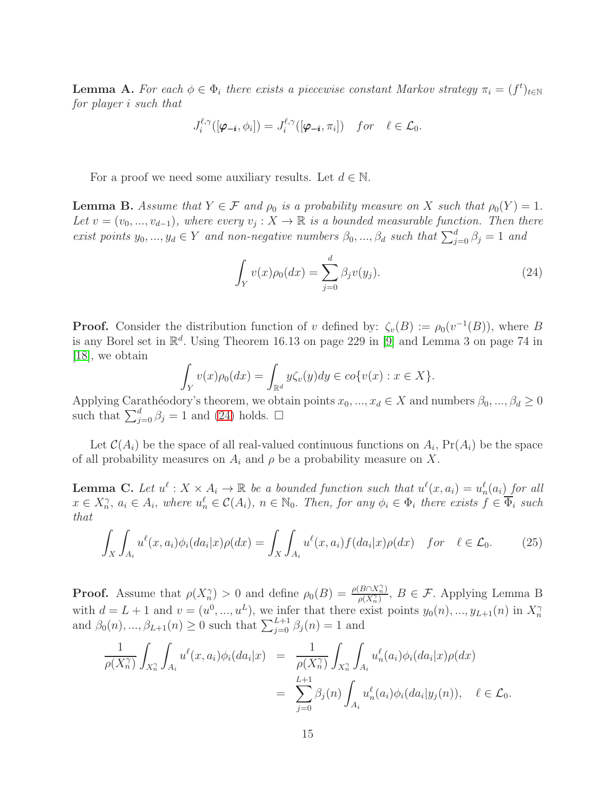**Lemma A.** For each  $\phi \in \Phi_i$  there exists a piecewise constant Markov strategy  $\pi_i = (f^t)_{t \in \mathbb{N}}$ for player i such that

$$
J_i^{\ell,\gamma}([\boldsymbol{\varphi}_{-\boldsymbol{i}},\phi_i])=J_i^{\ell,\gamma}([\boldsymbol{\varphi}_{-\boldsymbol{i}},\pi_i]) \quad for \quad \ell \in \mathcal{L}_0.
$$

For a proof we need some auxiliary results. Let  $d \in \mathbb{N}$ .

**Lemma B.** Assume that  $Y \in \mathcal{F}$  and  $\rho_0$  is a probability measure on X such that  $\rho_0(Y) = 1$ . Let  $v = (v_0, ..., v_{d-1})$ , where every  $v_j : X \to \mathbb{R}$  is a bounded measurable function. Then there exist points  $y_0, ..., y_d \in Y$  and non-negative numbers  $\beta_0, ..., \beta_d$  such that  $\sum_{j=0}^d \beta_j = 1$  and

<span id="page-14-0"></span>
$$
\int_{Y} v(x)\rho_0(dx) = \sum_{j=0}^{d} \beta_j v(y_j).
$$
\n(24)

**Proof.** Consider the distribution function of v defined by:  $\zeta_v(B) := \rho_0(v^{-1}(B))$ , where B is any Borel set in  $\mathbb{R}^d$ . Using Theorem 16.13 on page 229 in [\[9\]](#page-19-9) and Lemma 3 on page 74 in [\[18\]](#page-19-10), we obtain

$$
\int_Y v(x)\rho_0(dx) = \int_{\mathbb{R}^d} y\zeta_v(y)dy \in co\{v(x) : x \in X\}.
$$

Applying Carathéodory's theorem, we obtain points  $x_0, ..., x_d \in X$  and numbers  $\beta_0, ..., \beta_d \geq 0$ such that  $\sum_{j=0}^{d} \beta_j = 1$  and [\(24\)](#page-14-0) holds.  $\Box$ 

Let  $\mathcal{C}(A_i)$  be the space of all real-valued continuous functions on  $A_i$ ,  $Pr(A_i)$  be the space of all probability measures on  $A_i$  and  $\rho$  be a probability measure on X.

**Lemma C.** Let  $u^{\ell}: X \times A_i \to \mathbb{R}$  be a bounded function such that  $u^{\ell}(x, a_i) = u_n^{\ell}(a_i)$  for all  $x \in X_n^{\gamma}, a_i \in A_i$ , where  $u_n^{\ell} \in \mathcal{C}(A_i)$ ,  $n \in \mathbb{N}_0$ . Then, for any  $\phi_i \in \Phi_i$  there exists  $f \in \overline{\Phi}_i$  such that

<span id="page-14-1"></span>
$$
\int_{X} \int_{A_i} u^{\ell}(x, a_i) \phi_i(da_i|x) \rho(dx) = \int_{X} \int_{A_i} u^{\ell}(x, a_i) f(da_i|x) \rho(dx) \quad \text{for} \quad \ell \in \mathcal{L}_0.
$$
 (25)

**Proof.** Assume that  $\rho(X_n^{\gamma}) > 0$  and define  $\rho_0(B) = \frac{\rho(B \cap X_n^{\gamma})}{\rho(X_n^{\gamma})}$  $\frac{B\{[X_n]\}}{\rho(X_n^{\gamma})}, B \in \mathcal{F}$ . Applying Lemma B with  $d = L + 1$  and  $v = (u^0, ..., u^L)$ , we infer that there exist points  $y_0(n), ..., y_{L+1}(n)$  in  $X_n^{\gamma}$  and  $\beta_0(n), ..., \beta_{L+1}(n) \ge 0$  such that  $\sum_{j=0}^{L+1} \beta_j(n) = 1$  and

$$
\frac{1}{\rho(X_n^{\gamma})} \int_{X_n^{\gamma}} \int_{A_i} u^{\ell}(x, a_i) \phi_i(da_i|x) = \frac{1}{\rho(X_n^{\gamma})} \int_{X_n^{\gamma}} \int_{A_i} u_n^{\ell}(a_i) \phi_i(da_i|x) \rho(dx)
$$
  

$$
= \sum_{j=0}^{L+1} \beta_j(n) \int_{A_i} u_n^{\ell}(a_i) \phi_i(da_i|y_j(n)), \quad \ell \in \mathcal{L}_0.
$$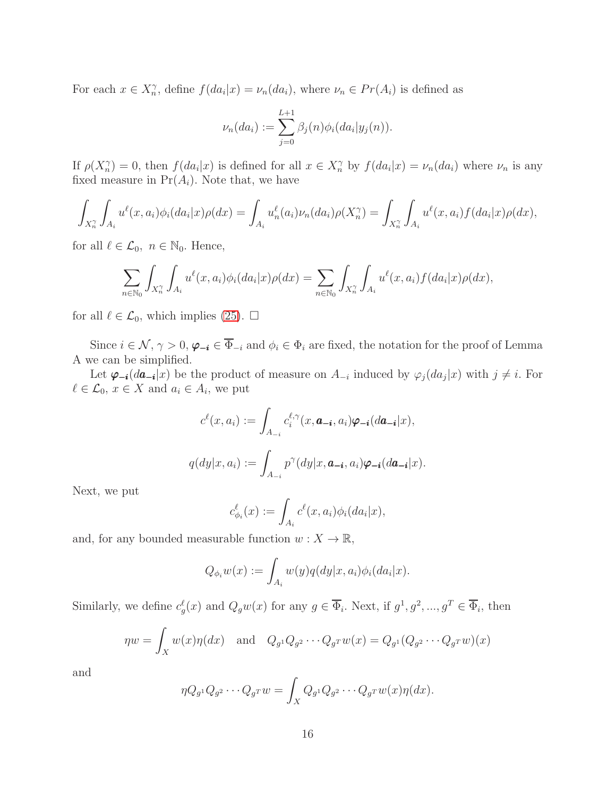For each  $x \in X_n^{\gamma}$ , define  $f(da_i|x) = \nu_n(da_i)$ , where  $\nu_n \in Pr(A_i)$  is defined as

$$
\nu_n(da_i) := \sum_{j=0}^{L+1} \beta_j(n)\phi_i(da_i|y_j(n)).
$$

If  $\rho(X_n^{\gamma}) = 0$ , then  $f(da_i|x)$  is defined for all  $x \in X_n^{\gamma}$  by  $f(da_i|x) = \nu_n(da_i)$  where  $\nu_n$  is any fixed measure in  $Pr(A_i)$ . Note that, we have

$$
\int_{X_n^{\gamma}} \int_{A_i} u^{\ell}(x, a_i) \phi_i(da_i|x) \rho(dx) = \int_{A_i} u_n^{\ell}(a_i) \nu_n(da_i) \rho(X_n^{\gamma}) = \int_{X_n^{\gamma}} \int_{A_i} u^{\ell}(x, a_i) f(da_i|x) \rho(dx),
$$

for all  $\ell \in \mathcal{L}_0$ ,  $n \in \mathbb{N}_0$ . Hence,

$$
\sum_{n\in\mathbb{N}_0}\int_{X_n^{\gamma}}\int_{A_i}u^{\ell}(x,a_i)\phi_i(da_i|x)\rho(dx)=\sum_{n\in\mathbb{N}_0}\int_{X_n^{\gamma}}\int_{A_i}u^{\ell}(x,a_i)f(da_i|x)\rho(dx),
$$

for all  $\ell \in \mathcal{L}_0$ , which implies [\(25\)](#page-14-1).  $\square$ 

Since  $i \in \mathcal{N}, \gamma > 0, \varphi_{-i} \in \overline{\Phi}_{-i}$  and  $\phi_i \in \Phi_i$  are fixed, the notation for the proof of Lemma A we can be simplified.

Let  $\varphi_{-i}(da_{-i}|x)$  be the product of measure on  $A_{-i}$  induced by  $\varphi_j(da_j|x)$  with  $j \neq i$ . For  $\ell \in \mathcal{L}_0, x \in X$  and  $a_i \in A_i$ , we put

$$
c^{\ell}(x, a_i) := \int_{A_{-i}} c_i^{\ell, \gamma}(x, \boldsymbol{a}_{-i}, a_i) \varphi_{-i}(d\boldsymbol{a}_{-i}|x),
$$

$$
q(dy|x, a_i) := \int_{A_{-i}} p^{\gamma}(dy|x, \boldsymbol{a}_{-i}, a_i) \varphi_{-i}(d\boldsymbol{a}_{-i}|x).
$$

Next, we put

$$
c_{\phi_i}^{\ell}(x) := \int_{A_i} c^{\ell}(x, a_i) \phi_i(da_i|x),
$$

and, for any bounded measurable function  $w: X \to \mathbb{R}$ ,

$$
Q_{\phi_i}w(x) := \int_{A_i} w(y)q(dy|x, a_i)\phi_i(da_i|x).
$$

Similarly, we define  $c_g^{\ell}(x)$  and  $Q_g w(x)$  for any  $g \in \overline{\Phi}_i$ . Next, if  $g^1, g^2, ..., g^T \in \overline{\Phi}_i$ , then

$$
\eta w = \int_X w(x)\eta(dx) \quad \text{and} \quad Q_{g^1}Q_{g^2}\cdots Q_{g^T}w(x) = Q_{g^1}(Q_{g^2}\cdots Q_{g^T}w)(x)
$$

and

$$
\eta Q_{g^1} Q_{g^2} \cdots Q_{g^T} w = \int_X Q_{g^1} Q_{g^2} \cdots Q_{g^T} w(x) \eta(dx).
$$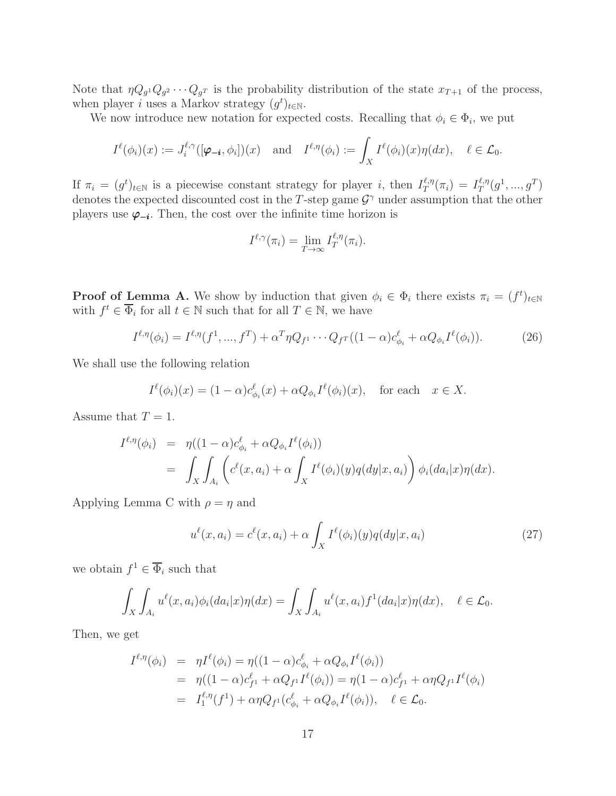Note that  $\eta Q_{g} Q_{g} Q_{g} Q_{g} Q_{g}$  is the probability distribution of the state  $x_{T+1}$  of the process, when player *i* uses a Markov strategy  $(g<sup>t</sup>)<sub>t∈N</sub>$ .

We now introduce new notation for expected costs. Recalling that  $\phi_i \in \Phi_i$ , we put

$$
I^{\ell}(\phi_i)(x) := J_i^{\ell,\gamma}([\boldsymbol{\varphi}_{-\boldsymbol{i}},\phi_i])(x) \text{ and } I^{\ell,\eta}(\phi_i) := \int_X I^{\ell}(\phi_i)(x)\eta(dx), \quad \ell \in \mathcal{L}_0.
$$

If  $\pi_i = (g^t)_{t \in \mathbb{N}}$  is a piecewise constant strategy for player i, then  $I_T^{\ell,\eta}$  $I_T^{\ell,\eta}(\pi_i) = I_T^{\ell,\eta}$  $g_T^{\ell,\eta}(g^1,...,g^T)$ denotes the expected discounted cost in the T-step game  $\mathcal{G}^{\gamma}$  under assumption that the other players use  $\varphi_{-i}$ . Then, the cost over the infinite time horizon is

$$
I^{\ell,\gamma}(\pi_i) = \lim_{T \to \infty} I_T^{\ell,\eta}(\pi_i).
$$

**Proof of Lemma A.** We show by induction that given  $\phi_i \in \Phi_i$  there exists  $\pi_i = (f^t)_{t \in \mathbb{N}}$ with  $f^t \in \overline{\Phi}_i$  for all  $t \in \mathbb{N}$  such that for all  $T \in \mathbb{N}$ , we have

<span id="page-16-0"></span>
$$
I^{\ell,\eta}(\phi_i) = I^{\ell,\eta}(f^1,...,f^T) + \alpha^T \eta Q_{f^1} \cdots Q_{f^T} ((1-\alpha)c_{\phi_i}^{\ell} + \alpha Q_{\phi_i} I^{\ell}(\phi_i)).
$$
 (26)

We shall use the following relation

$$
I^{\ell}(\phi_i)(x) = (1 - \alpha)c_{\phi_i}^{\ell}(x) + \alpha Q_{\phi_i}I^{\ell}(\phi_i)(x), \text{ for each } x \in X.
$$

Assume that  $T = 1$ .

$$
I^{\ell,\eta}(\phi_i) = \eta((1-\alpha)c_{\phi_i}^{\ell} + \alpha Q_{\phi_i}I^{\ell}(\phi_i))
$$
  
= 
$$
\int_X \int_{A_i} \left( c^{\ell}(x, a_i) + \alpha \int_X I^{\ell}(\phi_i)(y)q(dy|x, a_i) \right) \phi_i(da_i|x)\eta(dx).
$$

Applying Lemma C with  $\rho = \eta$  and

<span id="page-16-1"></span>
$$
u^{\ell}(x,a_i) = c^{\ell}(x,a_i) + \alpha \int_X I^{\ell}(\phi_i)(y)q(dy|x,a_i)
$$
\n(27)

we obtain  $f^1 \in \overline{\Phi}_i$  such that

$$
\int_X \int_{A_i} u^{\ell}(x, a_i) \phi_i(da_i|x) \eta(dx) = \int_X \int_{A_i} u^{\ell}(x, a_i) f^1(da_i|x) \eta(dx), \quad \ell \in \mathcal{L}_0.
$$

Then, we get

$$
I^{\ell,\eta}(\phi_i) = \eta I^{\ell}(\phi_i) = \eta((1-\alpha)c^{\ell}_{\phi_i} + \alpha Q_{\phi_i}I^{\ell}(\phi_i))
$$
  
=  $\eta((1-\alpha)c^{\ell}_{f^1} + \alpha Q_{f^1}I^{\ell}(\phi_i)) = \eta(1-\alpha)c^{\ell}_{f^1} + \alpha \eta Q_{f^1}I^{\ell}(\phi_i)$   
=  $I^{\ell,\eta}_{1}(f^1) + \alpha \eta Q_{f^1}(c^{\ell}_{\phi_i} + \alpha Q_{\phi_i}I^{\ell}(\phi_i)), \quad \ell \in \mathcal{L}_0.$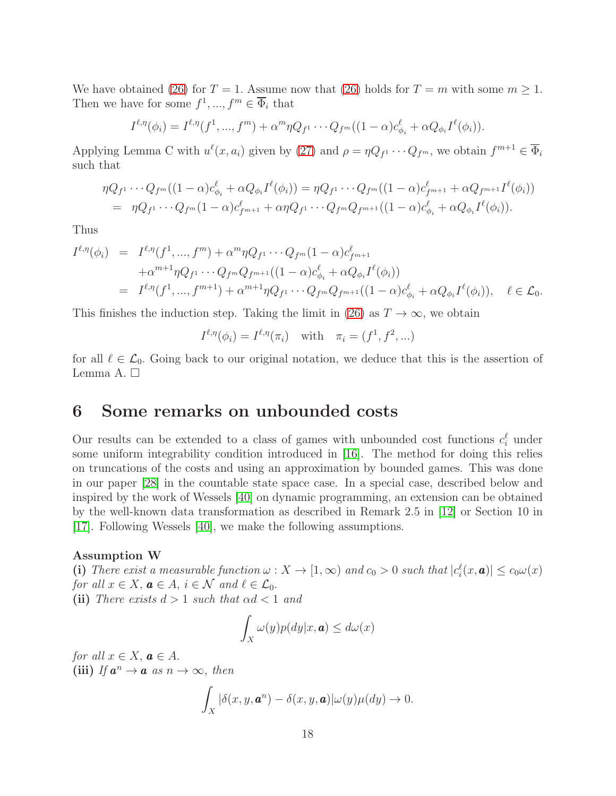We have obtained [\(26\)](#page-16-0) for  $T = 1$ . Assume now that (26) holds for  $T = m$  with some  $m \ge 1$ . Then we have for some  $f^1, ..., f^m \in \overline{\Phi}_i$  that

$$
I^{\ell,\eta}(\phi_i) = I^{\ell,\eta}(f^1,...,f^m) + \alpha^m \eta Q_{f^1} \cdots Q_{f^m} ((1-\alpha)c_{\phi_i}^{\ell} + \alpha Q_{\phi_i} I^{\ell}(\phi_i)).
$$

Applying Lemma C with  $u^{\ell}(x, a_i)$  given by [\(27\)](#page-16-1) and  $\rho = \eta Q_{f^1} \cdots Q_{f^m}$ , we obtain  $f^{m+1} \in \overline{\Phi}_i$ such that

$$
\eta Q_{f^1} \cdots Q_{f^m} ((1 - \alpha) c_{\phi_i}^{\ell} + \alpha Q_{\phi_i} I^{\ell}(\phi_i)) = \eta Q_{f^1} \cdots Q_{f^m} ((1 - \alpha) c_{f^{m+1}}^{\ell} + \alpha Q_{f^{m+1}} I^{\ell}(\phi_i))
$$
  
=  $\eta Q_{f^1} \cdots Q_{f^m} (1 - \alpha) c_{f^{m+1}}^{\ell} + \alpha \eta Q_{f^1} \cdots Q_{f^m} Q_{f^{m+1}} ((1 - \alpha) c_{\phi_i}^{\ell} + \alpha Q_{\phi_i} I^{\ell}(\phi_i)).$ 

Thus

$$
I^{\ell,\eta}(\phi_i) = I^{\ell,\eta}(f^1,...,f^m) + \alpha^m \eta Q_{f^1} \cdots Q_{f^m} (1-\alpha) c_{f^{m+1}}^{\ell}
$$
  
+ 
$$
\alpha^{m+1} \eta Q_{f^1} \cdots Q_{f^m} Q_{f^{m+1}} ((1-\alpha) c_{\phi_i}^{\ell} + \alpha Q_{\phi_i} I^{\ell}(\phi_i))
$$
  
= 
$$
I^{\ell,\eta}(f^1,...,f^{m+1}) + \alpha^{m+1} \eta Q_{f^1} \cdots Q_{f^m} Q_{f^{m+1}} ((1-\alpha) c_{\phi_i}^{\ell} + \alpha Q_{\phi_i} I^{\ell}(\phi_i)), \quad \ell \in \mathcal{L}_0.
$$

This finishes the induction step. Taking the limit in [\(26\)](#page-16-0) as  $T \to \infty$ , we obtain

$$
I^{\ell,\eta}(\phi_i) = I^{\ell,\eta}(\pi_i) \quad \text{with} \quad \pi_i = (f^1, f^2, \ldots)
$$

for all  $\ell \in \mathcal{L}_0$ . Going back to our original notation, we deduce that this is the assertion of Lemma A.  $\square$ 

### 6 Some remarks on unbounded costs

Our results can be extended to a class of games with unbounded cost functions  $c_i^{\ell}$  under some uniform integrability condition introduced in [\[16\]](#page-19-7). The method for doing this relies on truncations of the costs and using an approximation by bounded games. This was done in our paper [\[28\]](#page-20-0) in the countable state space case. In a special case, described below and inspired by the work of Wessels [\[40\]](#page-21-5) on dynamic programming, an extension can be obtained by the well-known data transformation as described in Remark 2.5 in [\[12\]](#page-19-11) or Section 10 in [\[17\]](#page-19-12). Following Wessels [\[40\]](#page-21-5), we make the following assumptions.

#### Assumption W

(i) There exist a measurable function  $\omega: X \to [1, \infty)$  and  $c_0 > 0$  such that  $|c_i^{\ell}(x, \boldsymbol{a})| \leq c_0 \omega(x)$ for all  $x \in X$ ,  $\mathbf{a} \in A$ ,  $i \in \mathcal{N}$  and  $\ell \in \mathcal{L}_0$ . (ii) There exists  $d > 1$  such that  $\alpha d < 1$  and

$$
\int_X \omega(y)p(dy|x,\mathbf{a}) \le d\omega(x)
$$

for all  $x \in X$ ,  $\mathbf{a} \in A$ . (iii) If  $a^n \to a$  as  $n \to \infty$ , then

$$
\int_X |\delta(x, y, \boldsymbol{a}^n) - \delta(x, y, \boldsymbol{a})| \omega(y) \mu(dy) \to 0.
$$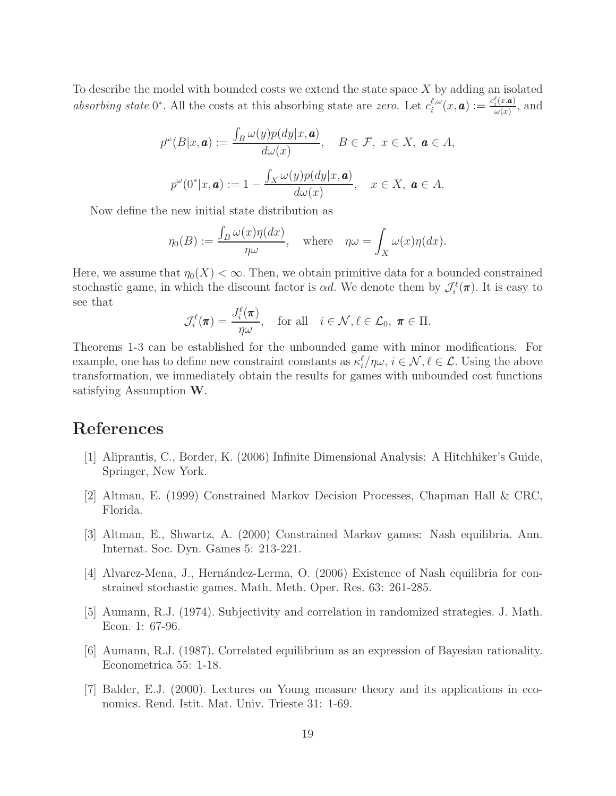To describe the model with bounded costs we extend the state space  $X$  by adding an isolated absorbing state 0<sup>\*</sup>. All the costs at this absorbing state are zero. Let  $c_i^{\ell,\omega}$  $\frac{\ell,\omega}{i}(x,\boldsymbol{a}):=\frac{c_i^\ell(x,\boldsymbol{a})}{\omega(x)}$  $\frac{\partial f(x,\boldsymbol{a})}{\partial \omega(x)}$ , and

$$
p^{\omega}(B|x, \mathbf{a}) := \frac{\int_{B} \omega(y)p(dy|x, \mathbf{a})}{d\omega(x)}, \quad B \in \mathcal{F}, \ x \in X, \ \mathbf{a} \in A,
$$

$$
p^{\omega}(0^*|x, \mathbf{a}) := 1 - \frac{\int_{X} \omega(y)p(dy|x, \mathbf{a})}{d\omega(x)}, \quad x \in X, \ \mathbf{a} \in A.
$$

Now define the new initial state distribution as

$$
\eta_0(B) := \frac{\int_B \omega(x)\eta(dx)}{\eta\omega}, \quad \text{where} \quad \eta\omega = \int_X \omega(x)\eta(dx).
$$

Here, we assume that  $\eta_0(X) < \infty$ . Then, we obtain primitive data for a bounded constrained stochastic game, in which the discount factor is  $\alpha d$ . We denote them by  $\mathcal{J}_i^{\ell}(\pi)$ . It is easy to see that

$$
\mathcal{J}_i^{\ell}(\boldsymbol{\pi}) = \frac{J_i^{\ell}(\boldsymbol{\pi})}{\eta \omega}, \quad \text{for all} \quad i \in \mathcal{N}, \ell \in \mathcal{L}_0, \ \boldsymbol{\pi} \in \Pi.
$$

Theorems 1-3 can be established for the unbounded game with minor modifications. For example, one has to define new constraint constants as  $\kappa_i^{\ell}/\eta\omega$ ,  $i \in \mathcal{N}, \ell \in \mathcal{L}$ . Using the above transformation, we immediately obtain the results for games with unbounded cost functions satisfying Assumption W.

# <span id="page-18-5"></span>References

- <span id="page-18-0"></span>[1] Aliprantis, C., Border, K. (2006) Infinite Dimensional Analysis: A Hitchhiker's Guide, Springer, New York.
- <span id="page-18-1"></span>[2] Altman, E. (1999) Constrained Markov Decision Processes, Chapman Hall & CRC, Florida.
- <span id="page-18-2"></span>[3] Altman, E., Shwartz, A. (2000) Constrained Markov games: Nash equilibria. Ann. Internat. Soc. Dyn. Games 5: 213-221.
- <span id="page-18-3"></span>[4] Alvarez-Mena, J., Hernández-Lerma, O. (2006) Existence of Nash equilibria for constrained stochastic games. Math. Meth. Oper. Res. 63: 261-285.
- <span id="page-18-4"></span>[5] Aumann, R.J. (1974). Subjectivity and correlation in randomized strategies. J. Math. Econ. 1: 67-96.
- <span id="page-18-6"></span>[6] Aumann, R.J. (1987). Correlated equilibrium as an expression of Bayesian rationality. Econometrica 55: 1-18.
- [7] Balder, E.J. (2000). Lectures on Young measure theory and its applications in economics. Rend. Istit. Mat. Univ. Trieste 31: 1-69.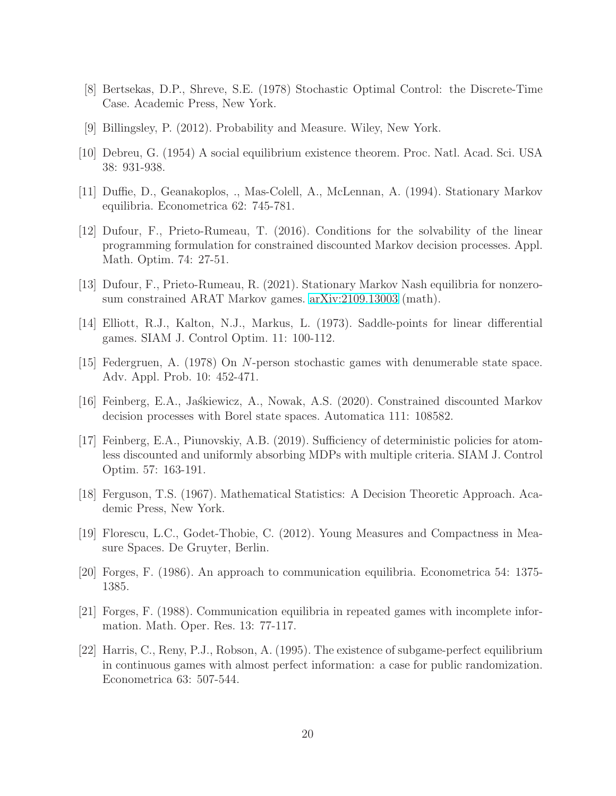- <span id="page-19-9"></span><span id="page-19-8"></span>[8] Bertsekas, D.P., Shreve, S.E. (1978) Stochastic Optimal Control: the Discrete-Time Case. Academic Press, New York.
- [9] Billingsley, P. (2012). Probability and Measure. Wiley, New York.
- <span id="page-19-1"></span>[10] Debreu, G. (1954) A social equilibrium existence theorem. Proc. Natl. Acad. Sci. USA 38: 931-938.
- <span id="page-19-11"></span>[11] Duffie, D., Geanakoplos, ., Mas-Colell, A., McLennan, A. (1994). Stationary Markov equilibria. Econometrica 62: 745-781.
- [12] Dufour, F., Prieto-Rumeau, T. (2016). Conditions for the solvability of the linear programming formulation for constrained discounted Markov decision processes. Appl. Math. Optim. 74: 27-51.
- <span id="page-19-5"></span><span id="page-19-0"></span>[13] Dufour, F., Prieto-Rumeau, R. (2021). Stationary Markov Nash equilibria for nonzerosum constrained ARAT Markov games. [arXiv:2109.13003](http://arxiv.org/abs/2109.13003) (math).
- <span id="page-19-6"></span>[14] Elliott, R.J., Kalton, N.J., Markus, L. (1973). Saddle-points for linear differential games. SIAM J. Control Optim. 11: 100-112.
- <span id="page-19-7"></span>[15] Federgruen, A. (1978) On N-person stochastic games with denumerable state space. Adv. Appl. Prob. 10: 452-471.
- <span id="page-19-12"></span>[16] Feinberg, E.A., Jaskiewicz, A., Nowak, A.S. (2020). Constrained discounted Markov decision processes with Borel state spaces. Automatica 111: 108582.
- [17] Feinberg, E.A., Piunovskiy, A.B. (2019). Sufficiency of deterministic policies for atomless discounted and uniformly absorbing MDPs with multiple criteria. SIAM J. Control Optim. 57: 163-191.
- <span id="page-19-10"></span>[18] Ferguson, T.S. (1967). Mathematical Statistics: A Decision Theoretic Approach. Academic Press, New York.
- <span id="page-19-3"></span>[19] Florescu, L.C., Godet-Thobie, C. (2012). Young Measures and Compactness in Measure Spaces. De Gruyter, Berlin.
- <span id="page-19-4"></span>[20] Forges, F. (1986). An approach to communication equilibria. Econometrica 54: 1375- 1385.
- <span id="page-19-2"></span>[21] Forges, F. (1988). Communication equilibria in repeated games with incomplete information. Math. Oper. Res. 13: 77-117.
- [22] Harris, C., Reny, P.J., Robson, A. (1995). The existence of subgame-perfect equilibrium in continuous games with almost perfect information: a case for public randomization. Econometrica 63: 507-544.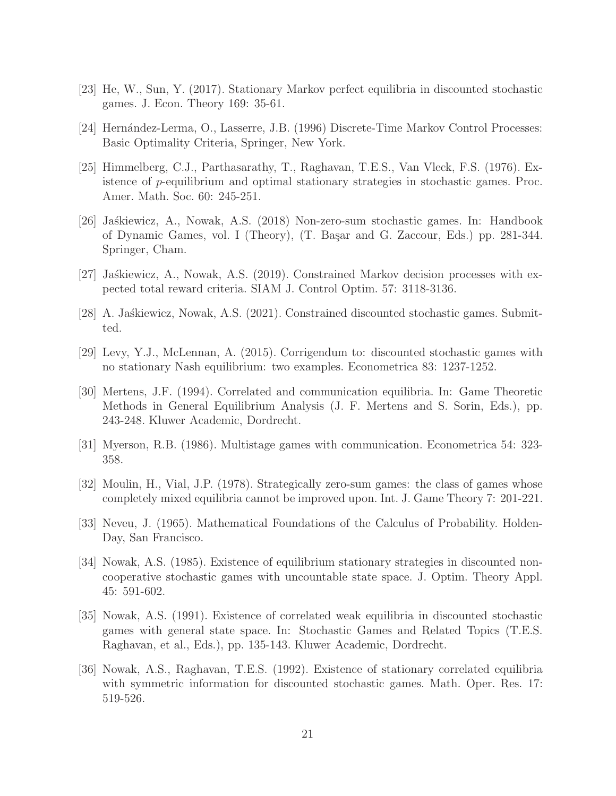- <span id="page-20-4"></span>[23] He, W., Sun, Y. (2017). Stationary Markov perfect equilibria in discounted stochastic games. J. Econ. Theory 169: 35-61.
- <span id="page-20-1"></span>[24] Hernández-Lerma, O., Lasserre, J.B. (1996) Discrete-Time Markov Control Processes: Basic Optimality Criteria, Springer, New York.
- [25] Himmelberg, C.J., Parthasarathy, T., Raghavan, T.E.S., Van Vleck, F.S. (1976). Existence of p-equilibrium and optimal stationary strategies in stochastic games. Proc. Amer. Math. Soc. 60: 245-251.
- <span id="page-20-5"></span>[26] Ja´skiewicz, A., Nowak, A.S. (2018) Non-zero-sum stochastic games. In: Handbook of Dynamic Games, vol. I (Theory), (T. Ba¸sar and G. Zaccour, Eds.) pp. 281-344. Springer, Cham.
- <span id="page-20-12"></span><span id="page-20-0"></span>[27] Jaskiewicz, A., Nowak, A.S. (2019). Constrained Markov decision processes with expected total reward criteria. SIAM J. Control Optim. 57: 3118-3136.
- <span id="page-20-2"></span>[28] A. Jaskiewicz, Nowak, A.S. (2021). Constrained discounted stochastic games. Submitted.
- <span id="page-20-9"></span>[29] Levy, Y.J., McLennan, A. (2015). Corrigendum to: discounted stochastic games with no stationary Nash equilibrium: two examples. Econometrica 83: 1237-1252.
- [30] Mertens, J.F. (1994). Correlated and communication equilibria. In: Game Theoretic Methods in General Equilibrium Analysis (J. F. Mertens and S. Sorin, Eds.), pp. 243-248. Kluwer Academic, Dordrecht.
- <span id="page-20-8"></span><span id="page-20-7"></span>[31] Myerson, R.B. (1986). Multistage games with communication. Econometrica 54: 323- 358.
- <span id="page-20-11"></span>[32] Moulin, H., Vial, J.P. (1978). Strategically zero-sum games: the class of games whose completely mixed equilibria cannot be improved upon. Int. J. Game Theory 7: 201-221.
- <span id="page-20-3"></span>[33] Neveu, J. (1965). Mathematical Foundations of the Calculus of Probability. Holden-Day, San Francisco.
- [34] Nowak, A.S. (1985). Existence of equilibrium stationary strategies in discounted noncooperative stochastic games with uncountable state space. J. Optim. Theory Appl. 45: 591-602.
- <span id="page-20-10"></span>[35] Nowak, A.S. (1991). Existence of correlated weak equilibria in discounted stochastic games with general state space. In: Stochastic Games and Related Topics (T.E.S. Raghavan, et al., Eds.), pp. 135-143. Kluwer Academic, Dordrecht.
- <span id="page-20-6"></span>[36] Nowak, A.S., Raghavan, T.E.S. (1992). Existence of stationary correlated equilibria with symmetric information for discounted stochastic games. Math. Oper. Res. 17: 519-526.